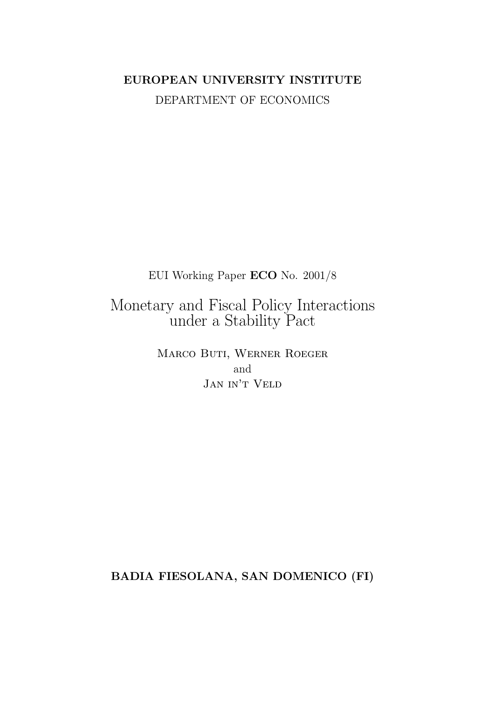## EUROPEAN UNIVERSITY INSTITUTE DEPARTMENT OF ECONOMICS

EUI Working Paper ECO No. 2001/8

# $\label{eq:nonetary and Fiscal Policy} \begin{minipage}[t]{0.9\linewidth} \emph{Monetary and Fiscal Policy Interactions} \emph{Under a Stability} \emph{Fact} \end{minipage}$

MARCO BUTI, WERNER ROEGER and JAN IN'T VELD

BADIA FIESOLANA, SAN DOMENICO (FI)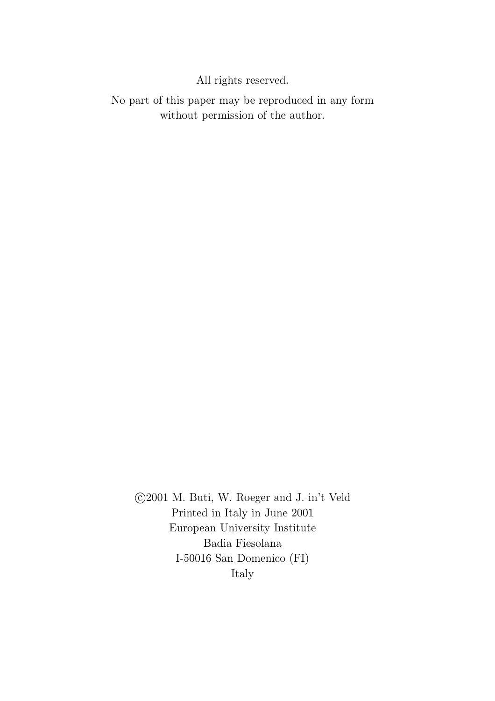## All rights reserved.

No part of this paper may be reproduced in any form without permission of the author.

©2001 M. Buti, W. Roeger and J. in't Veld Printed in Italy in June 2001 European University Institute Badia Fiesolana I-50016 San Domenico  $(FI)$ Italy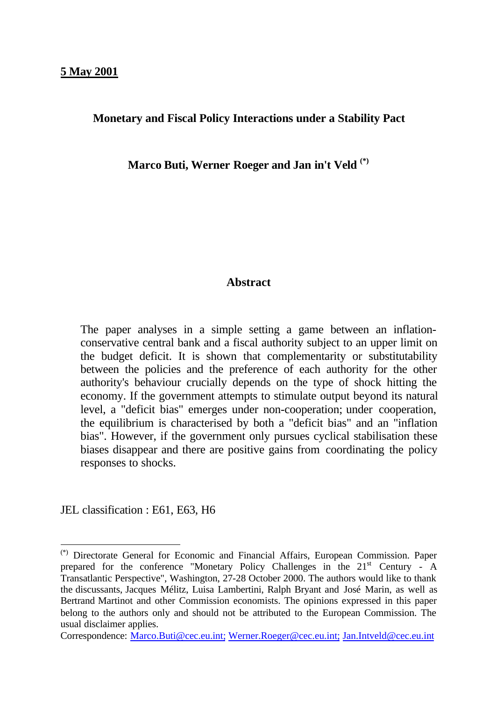#### **Monetary and Fiscal Policy Interactions under a Stability Pact**

**Marco Buti, Werner Roeger and Jan in't Veld (\*)**

#### **Abstract**

The paper analyses in a simple setting a game between an inflationconservative central bank and a fiscal authority subject to an upper limit on the budget deficit. It is shown that complementarity or substitutability between the policies and the preference of each authority for the other authority's behaviour crucially depends on the type of shock hitting the economy. If the government attempts to stimulate output beyond its natural level, a "deficit bias" emerges under non-cooperation; under cooperation, the equilibrium is characterised by both a "deficit bias" and an "inflation bias". However, if the government only pursues cyclical stabilisation these biases disappear and there are positive gains from coordinating the policy responses to shocks.

JEL classification : E61, E63, H6

<sup>(\*)</sup> Directorate General for Economic and Financial Affairs, European Commission. Paper prepared for the conference "Monetary Policy Challenges in the 21st Century - A Transatlantic Perspective", Washington, 27-28 October 2000. The authors would like to thank the discussants, Jacques Mélitz, Luisa Lambertini, Ralph Bryant and José Marin, as well as Bertrand Martinot and other Commission economists. The opinions expressed in this paper belong to the authors only and should not be attributed to the European Commission. The usual disclaimer applies.

Correspondence: Marco.Buti@cec.eu.int; Werner.Roeger@cec.eu.int; Jan.Intveld@cec.eu.int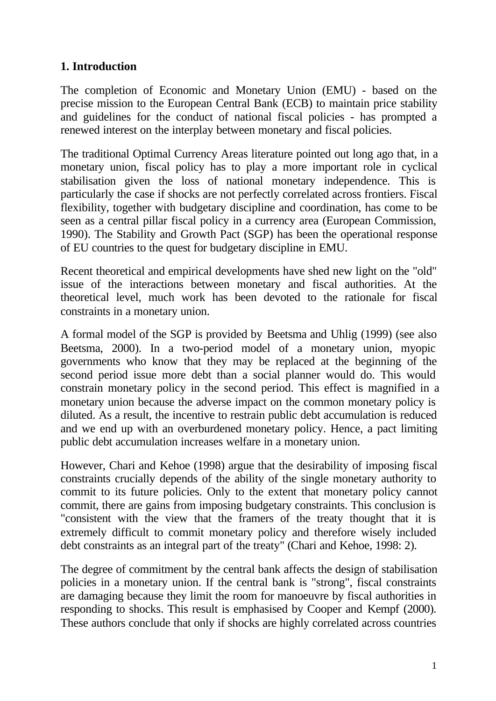## **1. Introduction**

The completion of Economic and Monetary Union (EMU) - based on the precise mission to the European Central Bank (ECB) to maintain price stability and guidelines for the conduct of national fiscal policies - has prompted a renewed interest on the interplay between monetary and fiscal policies.

The traditional Optimal Currency Areas literature pointed out long ago that, in a monetary union, fiscal policy has to play a more important role in cyclical stabilisation given the loss of national monetary independence. This is particularly the case if shocks are not perfectly correlated across frontiers. Fiscal flexibility, together with budgetary discipline and coordination, has come to be seen as a central pillar fiscal policy in a currency area (European Commission, 1990). The Stability and Growth Pact (SGP) has been the operational response of EU countries to the quest for budgetary discipline in EMU.

Recent theoretical and empirical developments have shed new light on the "old" issue of the interactions between monetary and fiscal authorities. At the theoretical level, much work has been devoted to the rationale for fiscal constraints in a monetary union.

A formal model of the SGP is provided by Beetsma and Uhlig (1999) (see also Beetsma, 2000). In a two-period model of a monetary union, myopic governments who know that they may be replaced at the beginning of the second period issue more debt than a social planner would do. This would constrain monetary policy in the second period. This effect is magnified in a monetary union because the adverse impact on the common monetary policy is diluted. As a result, the incentive to restrain public debt accumulation is reduced and we end up with an overburdened monetary policy. Hence, a pact limiting public debt accumulation increases welfare in a monetary union.

However, Chari and Kehoe (1998) argue that the desirability of imposing fiscal constraints crucially depends of the ability of the single monetary authority to commit to its future policies. Only to the extent that monetary policy cannot commit, there are gains from imposing budgetary constraints. This conclusion is "consistent with the view that the framers of the treaty thought that it is extremely difficult to commit monetary policy and therefore wisely included debt constraints as an integral part of the treaty" (Chari and Kehoe, 1998: 2).

The degree of commitment by the central bank affects the design of stabilisation policies in a monetary union. If the central bank is "strong", fiscal constraints are damaging because they limit the room for manoeuvre by fiscal authorities in responding to shocks. This result is emphasised by Cooper and Kempf (2000). These authors conclude that only if shocks are highly correlated across countries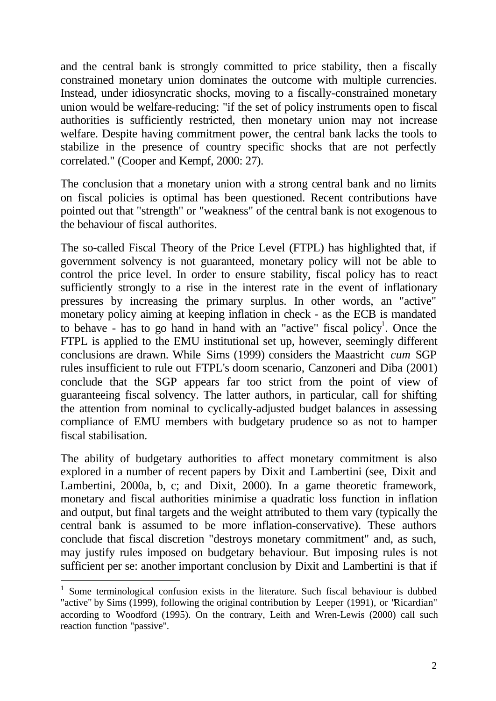and the central bank is strongly committed to price stability, then a fiscally constrained monetary union dominates the outcome with multiple currencies. Instead, under idiosyncratic shocks, moving to a fiscally-constrained monetary union would be welfare-reducing: "if the set of policy instruments open to fiscal authorities is sufficiently restricted, then monetary union may not increase welfare. Despite having commitment power, the central bank lacks the tools to stabilize in the presence of country specific shocks that are not perfectly correlated." (Cooper and Kempf, 2000: 27).

The conclusion that a monetary union with a strong central bank and no limits on fiscal policies is optimal has been questioned. Recent contributions have pointed out that "strength" or "weakness" of the central bank is not exogenous to the behaviour of fiscal authorites.

The so-called Fiscal Theory of the Price Level (FTPL) has highlighted that, if government solvency is not guaranteed, monetary policy will not be able to control the price level. In order to ensure stability, fiscal policy has to react sufficiently strongly to a rise in the interest rate in the event of inflationary pressures by increasing the primary surplus. In other words, an "active" monetary policy aiming at keeping inflation in check - as the ECB is mandated to behave - has to go hand in hand with an "active" fiscal policy<sup>1</sup>. Once the FTPL is applied to the EMU institutional set up, however, seemingly different conclusions are drawn. While Sims (1999) considers the Maastricht *cum* SGP rules insufficient to rule out FTPL's doom scenario, Canzoneri and Diba (2001) conclude that the SGP appears far too strict from the point of view of guaranteeing fiscal solvency. The latter authors, in particular, call for shifting the attention from nominal to cyclically-adjusted budget balances in assessing compliance of EMU members with budgetary prudence so as not to hamper fiscal stabilisation.

The ability of budgetary authorities to affect monetary commitment is also explored in a number of recent papers by Dixit and Lambertini (see, Dixit and Lambertini, 2000a, b, c; and Dixit, 2000). In a game theoretic framework, monetary and fiscal authorities minimise a quadratic loss function in inflation and output, but final targets and the weight attributed to them vary (typically the central bank is assumed to be more inflation-conservative). These authors conclude that fiscal discretion "destroys monetary commitment" and, as such, may justify rules imposed on budgetary behaviour. But imposing rules is not sufficient per se: another important conclusion by Dixit and Lambertini is that if

<sup>&</sup>lt;sup>1</sup> Some terminological confusion exists in the literature. Such fiscal behaviour is dubbed "active" by Sims (1999), following the original contribution by Leeper (1991), or "Ricardian" according to Woodford (1995). On the contrary, Leith and Wren-Lewis (2000) call such reaction function "passive".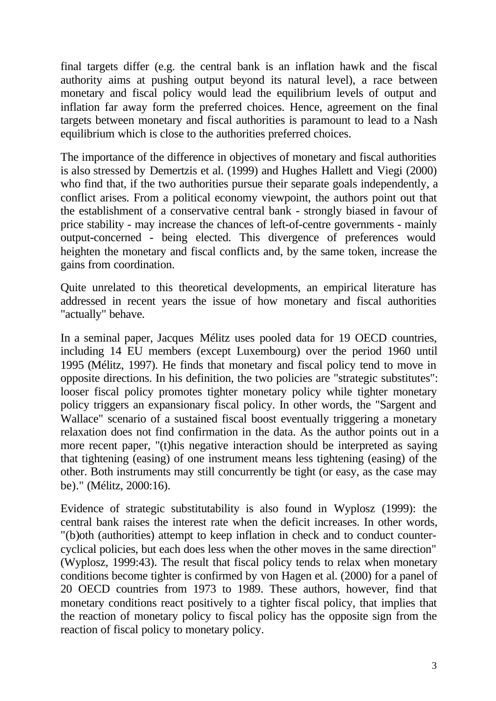final targets differ (e.g. the central bank is an inflation hawk and the fiscal authority aims at pushing output beyond its natural level), a race between monetary and fiscal policy would lead the equilibrium levels of output and inflation far away form the preferred choices. Hence, agreement on the final targets between monetary and fiscal authorities is paramount to lead to a Nash equilibrium which is close to the authorities preferred choices.

The importance of the difference in objectives of monetary and fiscal authorities is also stressed by Demertzis et al. (1999) and Hughes Hallett and Viegi (2000) who find that, if the two authorities pursue their separate goals independently, a conflict arises. From a political economy viewpoint, the authors point out that the establishment of a conservative central bank - strongly biased in favour of price stability - may increase the chances of left-of-centre governments - mainly output-concerned - being elected. This divergence of preferences would heighten the monetary and fiscal conflicts and, by the same token, increase the gains from coordination.

Quite unrelated to this theoretical developments, an empirical literature has addressed in recent years the issue of how monetary and fiscal authorities "actually" behave.

In a seminal paper, Jacques Mélitz uses pooled data for 19 OECD countries, including 14 EU members (except Luxembourg) over the period 1960 until 1995 (Mélitz, 1997). He finds that monetary and fiscal policy tend to move in opposite directions. In his definition, the two policies are "strategic substitutes": looser fiscal policy promotes tighter monetary policy while tighter monetary policy triggers an expansionary fiscal policy. In other words, the "Sargent and Wallace" scenario of a sustained fiscal boost eventually triggering a monetary relaxation does not find confirmation in the data. As the author points out in a more recent paper, "(t)his negative interaction should be interpreted as saying that tightening (easing) of one instrument means less tightening (easing) of the other. Both instruments may still concurrently be tight (or easy, as the case may be)." (Mélitz, 2000:16).

Evidence of strategic substitutability is also found in Wyplosz (1999): the central bank raises the interest rate when the deficit increases. In other words, "(b)oth (authorities) attempt to keep inflation in check and to conduct countercyclical policies, but each does less when the other moves in the same direction" (Wyplosz, 1999:43). The result that fiscal policy tends to relax when monetary conditions become tighter is confirmed by von Hagen et al. (2000) for a panel of 20 OECD countries from 1973 to 1989. These authors, however, find that monetary conditions react positively to a tighter fiscal policy, that implies that the reaction of monetary policy to fiscal policy has the opposite sign from the reaction of fiscal policy to monetary policy.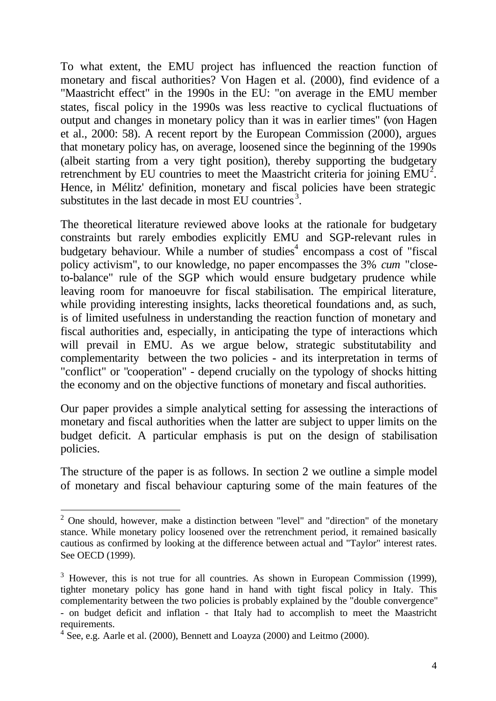To what extent, the EMU project has influenced the reaction function of monetary and fiscal authorities? Von Hagen et al. (2000), find evidence of a "Maastricht effect" in the 1990s in the EU: "on average in the EMU member states, fiscal policy in the 1990s was less reactive to cyclical fluctuations of output and changes in monetary policy than it was in earlier times" (von Hagen et al., 2000: 58). A recent report by the European Commission (2000), argues that monetary policy has, on average, loosened since the beginning of the 1990s (albeit starting from a very tight position), thereby supporting the budgetary retrenchment by EU countries to meet the Maastricht criteria for joining  $EMU<sup>2</sup>$ . Hence, in Mélitz' definition, monetary and fiscal policies have been strategic substitutes in the last decade in most  $\mathrm{EU}$  countries<sup>3</sup>.

The theoretical literature reviewed above looks at the rationale for budgetary constraints but rarely embodies explicitly EMU and SGP-relevant rules in budgetary behaviour. While a number of studies<sup>4</sup> encompass a cost of "fiscal policy activism", to our knowledge, no paper encompasses the 3% *cum* "closeto-balance" rule of the SGP which would ensure budgetary prudence while leaving room for manoeuvre for fiscal stabilisation. The empirical literature, while providing interesting insights, lacks theoretical foundations and, as such, is of limited usefulness in understanding the reaction function of monetary and fiscal authorities and, especially, in anticipating the type of interactions which will prevail in EMU. As we argue below, strategic substitutability and complementarity between the two policies - and its interpretation in terms of "conflict" or "cooperation" - depend crucially on the typology of shocks hitting the economy and on the objective functions of monetary and fiscal authorities.

Our paper provides a simple analytical setting for assessing the interactions of monetary and fiscal authorities when the latter are subject to upper limits on the budget deficit. A particular emphasis is put on the design of stabilisation policies.

The structure of the paper is as follows. In section 2 we outline a simple model of monetary and fiscal behaviour capturing some of the main features of the

<sup>&</sup>lt;sup>2</sup> One should, however, make a distinction between "level" and "direction" of the monetary stance. While monetary policy loosened over the retrenchment period, it remained basically cautious as confirmed by looking at the difference between actual and "Taylor" interest rates. See OECD (1999).

 $3$  However, this is not true for all countries. As shown in European Commission (1999), tighter monetary policy has gone hand in hand with tight fiscal policy in Italy. This complementarity between the two policies is probably explained by the "double convergence" - on budget deficit and inflation - that Italy had to accomplish to meet the Maastricht requirements.

 $4$  See, e.g. Aarle et al. (2000), Bennett and Loayza (2000) and Leitmo (2000).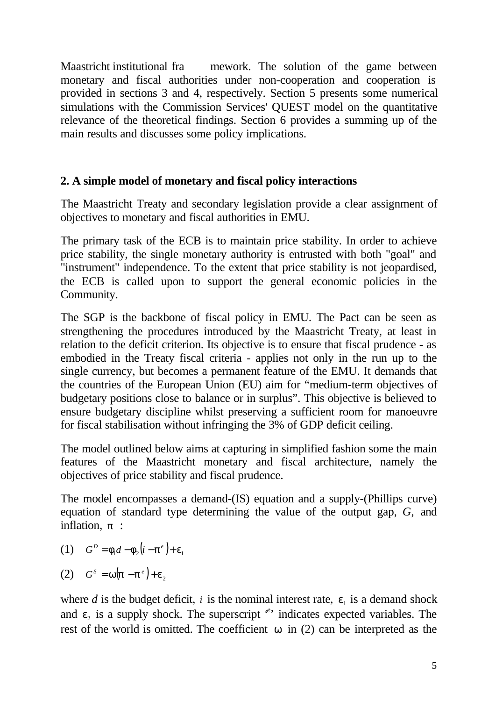Maastricht institutional fra mework. The solution of the game between monetary and fiscal authorities under non-cooperation and cooperation is provided in sections 3 and 4, respectively. Section 5 presents some numerical simulations with the Commission Services' QUEST model on the quantitative relevance of the theoretical findings. Section 6 provides a summing up of the main results and discusses some policy implications.

## **2. A simple model of monetary and fiscal policy interactions**

The Maastricht Treaty and secondary legislation provide a clear assignment of objectives to monetary and fiscal authorities in EMU.

The primary task of the ECB is to maintain price stability. In order to achieve price stability, the single monetary authority is entrusted with both "goal" and "instrument" independence. To the extent that price stability is not jeopardised, the ECB is called upon to support the general economic policies in the Community.

The SGP is the backbone of fiscal policy in EMU. The Pact can be seen as strengthening the procedures introduced by the Maastricht Treaty, at least in relation to the deficit criterion. Its objective is to ensure that fiscal prudence - as embodied in the Treaty fiscal criteria - applies not only in the run up to the single currency, but becomes a permanent feature of the EMU. It demands that the countries of the European Union (EU) aim for "medium-term objectives of budgetary positions close to balance or in surplus". This objective is believed to ensure budgetary discipline whilst preserving a sufficient room for manoeuvre for fiscal stabilisation without infringing the 3% of GDP deficit ceiling.

The model outlined below aims at capturing in simplified fashion some the main features of the Maastricht monetary and fiscal architecture, namely the objectives of price stability and fiscal prudence.

The model encompasses a demand-(IS) equation and a supply-(Phillips curve) equation of standard type determining the value of the output gap, *G,* and inflation, *p* :

(1)  $G^D = f_1 d - f_2 (i - p^e) + e_1$ 

$$
(2) \tGS = w(p - pe) + e2
$$

where  $d$  is the budget deficit,  $i$  is the nominal interest rate,  $e_i$  is a demand shock and  $e_2$  is a supply shock. The superscript  $e^i$  indicates expected variables. The rest of the world is omitted. The coefficient *w* in (2) can be interpreted as the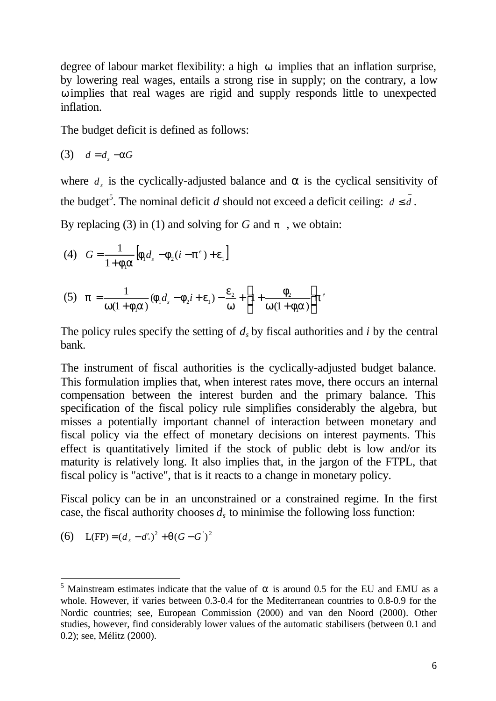degree of labour market flexibility: a high *w* implies that an inflation surprise, by lowering real wages, entails a strong rise in supply; on the contrary, a low *w* implies that real wages are rigid and supply responds little to unexpected inflation.

The budget deficit is defined as follows:

$$
(3) \quad d = d_s - aG
$$

where  $d_s$  is the cyclically-adjusted balance and  $\alpha$  is the cyclical sensitivity of the budget<sup>5</sup>. The nominal deficit *d* should not exceed a deficit ceiling:  $d \le d$ .

By replacing (3) in (1) and solving for *G* and *p* , we obtain:

(4) 
$$
G = \frac{1}{1 + \mathbf{f}_1 \mathbf{a}} \left[ \mathbf{f}_1 d_s - \mathbf{f}_2 (i - \mathbf{p}^e) + \mathbf{e}_1 \right]
$$

(5) 
$$
\mathbf{p} = \frac{1}{\mathbf{w}(1+\mathbf{f}_1\mathbf{a})} (\mathbf{f}_1 d_s - \mathbf{f}_2 i + \mathbf{e}_1) - \frac{\mathbf{e}_2}{\mathbf{w}} + \left[ 1 + \frac{\mathbf{f}_2}{\mathbf{w}(1+\mathbf{f}_1\mathbf{a})} \right] \mathbf{p}^e
$$

The policy rules specify the setting of  $d_s$  by fiscal authorities and  $i$  by the central bank.

The instrument of fiscal authorities is the cyclically-adjusted budget balance. This formulation implies that, when interest rates move, there occurs an internal compensation between the interest burden and the primary balance. This specification of the fiscal policy rule simplifies considerably the algebra, but misses a potentially important channel of interaction between monetary and fiscal policy via the effect of monetary decisions on interest payments. This effect is quantitatively limited if the stock of public debt is low and/or its maturity is relatively long. It also implies that, in the jargon of the FTPL, that fiscal policy is "active", that is it reacts to a change in monetary policy.

Fiscal policy can be in an unconstrained or a constrained regime. In the first case, the fiscal authority chooses  $d_s$  to minimise the following loss function:

(6) 
$$
L(FP) = (d_s - d')^2 + q(G - G')^2
$$

<sup>&</sup>lt;sup>5</sup> Mainstream estimates indicate that the value of  $\alpha$  is around 0.5 for the EU and EMU as a whole. However, if varies between 0.3-0.4 for the Mediterranean countries to 0.8-0.9 for the Nordic countries; see, European Commission (2000) and van den Noord (2000). Other studies, however, find considerably lower values of the automatic stabilisers (between 0.1 and 0.2); see, Mélitz (2000).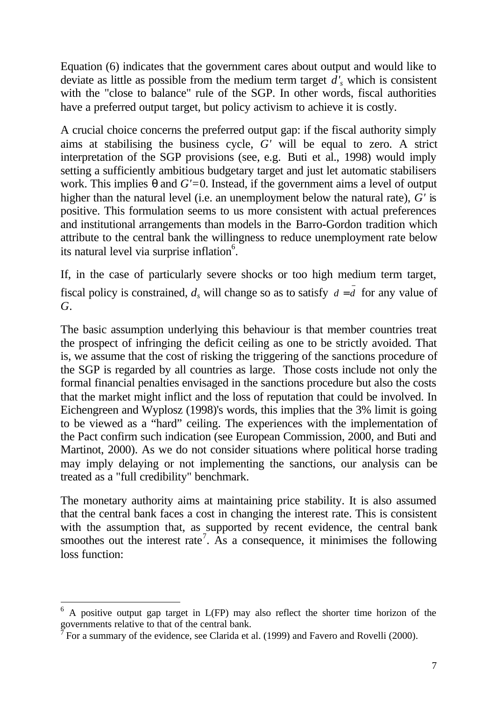Equation (6) indicates that the government cares about output and would like to deviate as little as possible from the medium term target *d'<sup>s</sup>* which is consistent with the "close to balance" rule of the SGP. In other words, fiscal authorities have a preferred output target, but policy activism to achieve it is costly.

A crucial choice concerns the preferred output gap: if the fiscal authority simply aims at stabilising the business cycle, *G'* will be equal to zero. A strict interpretation of the SGP provisions (see, e.g. Buti et al., 1998) would imply setting a sufficiently ambitious budgetary target and just let automatic stabilisers work. This implies *q* and *G'=*0. Instead, if the government aims a level of output higher than the natural level (i.e. an unemployment below the natural rate), *G'* is positive. This formulation seems to us more consistent with actual preferences and institutional arrangements than models in the Barro-Gordon tradition which attribute to the central bank the willingness to reduce unemployment rate below its natural level via surprise inflation<sup>6</sup>.

If, in the case of particularly severe shocks or too high medium term target, fiscal policy is constrained,  $d_s$  will change so as to satisfy  $d = \overline{d}$  for any value of *G*.

The basic assumption underlying this behaviour is that member countries treat the prospect of infringing the deficit ceiling as one to be strictly avoided. That is, we assume that the cost of risking the triggering of the sanctions procedure of the SGP is regarded by all countries as large. Those costs include not only the formal financial penalties envisaged in the sanctions procedure but also the costs that the market might inflict and the loss of reputation that could be involved. In Eichengreen and Wyplosz (1998)'s words, this implies that the 3% limit is going to be viewed as a "hard" ceiling. The experiences with the implementation of the Pact confirm such indication (see European Commission, 2000, and Buti and Martinot, 2000). As we do not consider situations where political horse trading may imply delaying or not implementing the sanctions, our analysis can be treated as a "full credibility" benchmark.

The monetary authority aims at maintaining price stability. It is also assumed that the central bank faces a cost in changing the interest rate. This is consistent with the assumption that, as supported by recent evidence, the central bank smoothes out the interest rate<sup>7</sup>. As a consequence, it minimises the following loss function:

 $6$  A positive output gap target in L(FP) may also reflect the shorter time horizon of the governments relative to that of the central bank.

 $\bar{7}$  For a summary of the evidence, see Clarida et al. (1999) and Favero and Rovelli (2000).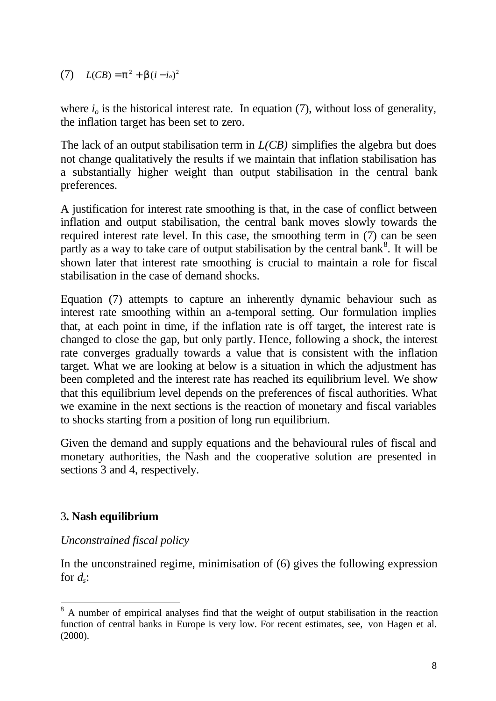#### $L(CB) = p^2 + b(i - i_o)^2$

where  $i<sub>o</sub>$  is the historical interest rate. In equation (7), without loss of generality, the inflation target has been set to zero.

The lack of an output stabilisation term in *L(CB)* simplifies the algebra but does not change qualitatively the results if we maintain that inflation stabilisation has a substantially higher weight than output stabilisation in the central bank preferences.

A justification for interest rate smoothing is that, in the case of conflict between inflation and output stabilisation, the central bank moves slowly towards the required interest rate level. In this case, the smoothing term in (7) can be seen partly as a way to take care of output stabilisation by the central bank<sup>8</sup>. It will be shown later that interest rate smoothing is crucial to maintain a role for fiscal stabilisation in the case of demand shocks.

Equation (7) attempts to capture an inherently dynamic behaviour such as interest rate smoothing within an a-temporal setting. Our formulation implies that, at each point in time, if the inflation rate is off target, the interest rate is changed to close the gap, but only partly. Hence, following a shock, the interest rate converges gradually towards a value that is consistent with the inflation target. What we are looking at below is a situation in which the adjustment has been completed and the interest rate has reached its equilibrium level. We show that this equilibrium level depends on the preferences of fiscal authorities. What we examine in the next sections is the reaction of monetary and fiscal variables to shocks starting from a position of long run equilibrium.

Given the demand and supply equations and the behavioural rules of fiscal and monetary authorities, the Nash and the cooperative solution are presented in sections 3 and 4, respectively.

## 3**. Nash equilibrium**

l

## *Unconstrained fiscal policy*

In the unconstrained regime, minimisation of (6) gives the following expression for *d<sup>s</sup>* :

<sup>&</sup>lt;sup>8</sup> A number of empirical analyses find that the weight of output stabilisation in the reaction function of central banks in Europe is very low. For recent estimates, see, von Hagen et al. (2000).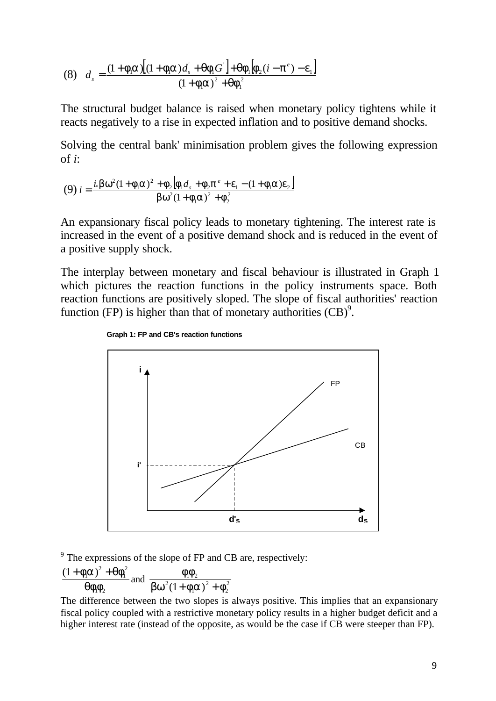(8) 
$$
d_s = \frac{(1 + \mathbf{f}_i \mathbf{a})[(1 + \mathbf{f}_i \mathbf{a})d_s + \mathbf{q}\mathbf{f}_1 G] + \mathbf{q}\mathbf{f}_1 [\mathbf{f}_2(i - \mathbf{p}^e) - \mathbf{e}_1]}{(1 + \mathbf{f}_i \mathbf{a})^2 + \mathbf{q}\mathbf{f}_1^2}
$$

The structural budget balance is raised when monetary policy tightens while it reacts negatively to a rise in expected inflation and to positive demand shocks.

Solving the central bank' minimisation problem gives the following expression of *i*:

(9) 
$$
i = \frac{i \cdot \mathbf{b} \cdot w^2 (1 + \mathbf{f}_1 \mathbf{a})^2 + \mathbf{f}_2 [\mathbf{f}_1 d_s + \mathbf{f}_2 \mathbf{p}^e + \mathbf{e}_1 - (1 + \mathbf{f}_1 \mathbf{a}) \mathbf{e}_2]}{\mathbf{b} \cdot w^2 (1 + \mathbf{f}_1 \mathbf{a})^2 + \mathbf{f}_2^2}
$$

An expansionary fiscal policy leads to monetary tightening. The interest rate is increased in the event of a positive demand shock and is reduced in the event of a positive supply shock.

The interplay between monetary and fiscal behaviour is illustrated in Graph 1 which pictures the reaction functions in the policy instruments space. Both reaction functions are positively sloped. The slope of fiscal authorities' reaction function (FP) is higher than that of monetary authorities  $(CB)^9$ .





 $9^9$  The expressions of the slope of FP and CB are, respectively:

$$
\frac{(1+f_1a)^2+qf_1^2}{qf_1f_2}
$$
 and 
$$
\frac{f_1f_2}{bw^2(1+f_1a)^2+f_2^2}
$$

The difference between the two slopes is always positive. This implies that an expansionary fiscal policy coupled with a restrictive monetary policy results in a higher budget deficit and a higher interest rate (instead of the opposite, as would be the case if CB were steeper than FP).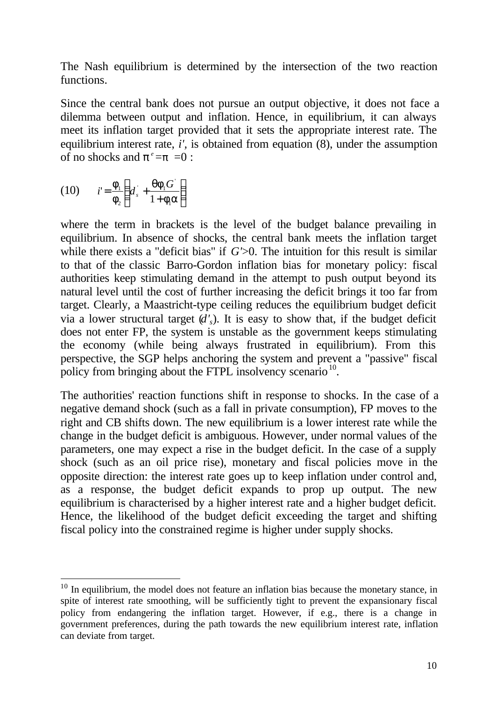The Nash equilibrium is determined by the intersection of the two reaction functions.

Since the central bank does not pursue an output objective, it does not face a dilemma between output and inflation. Hence, in equilibrium, it can always meet its inflation target provided that it sets the appropriate interest rate. The equilibrium interest rate, *i',* is obtained from equation (8), under the assumption of no shocks and  $p^e = p = 0$ :

$$
(10) \qquad i' = \frac{\mathbf{f}_1}{\mathbf{f}_2} \left( d_s + \frac{\mathbf{q} \mathbf{f}_1 G^{\dagger}}{1 + \mathbf{f}_1 \mathbf{a}} \right)
$$

l

where the term in brackets is the level of the budget balance prevailing in equilibrium. In absence of shocks, the central bank meets the inflation target while there exists a "deficit bias" if *G*'>0. The intuition for this result is similar to that of the classic Barro-Gordon inflation bias for monetary policy: fiscal authorities keep stimulating demand in the attempt to push output beyond its natural level until the cost of further increasing the deficit brings it too far from target. Clearly, a Maastricht-type ceiling reduces the equilibrium budget deficit via a lower structural target  $(d')$ . It is easy to show that, if the budget deficit does not enter FP, the system is unstable as the government keeps stimulating the economy (while being always frustrated in equilibrium). From this perspective, the SGP helps anchoring the system and prevent a "passive" fiscal policy from bringing about the FTPL insolvency scenario<sup>10</sup>.

The authorities' reaction functions shift in response to shocks. In the case of a negative demand shock (such as a fall in private consumption), FP moves to the right and CB shifts down. The new equilibrium is a lower interest rate while the change in the budget deficit is ambiguous. However, under normal values of the parameters, one may expect a rise in the budget deficit. In the case of a supply shock (such as an oil price rise), monetary and fiscal policies move in the opposite direction: the interest rate goes up to keep inflation under control and, as a response, the budget deficit expands to prop up output. The new equilibrium is characterised by a higher interest rate and a higher budget deficit. Hence, the likelihood of the budget deficit exceeding the target and shifting fiscal policy into the constrained regime is higher under supply shocks.

 $10$  In equilibrium, the model does not feature an inflation bias because the monetary stance, in spite of interest rate smoothing, will be sufficiently tight to prevent the expansionary fiscal policy from endangering the inflation target. However, if e.g., there is a change in government preferences, during the path towards the new equilibrium interest rate, inflation can deviate from target.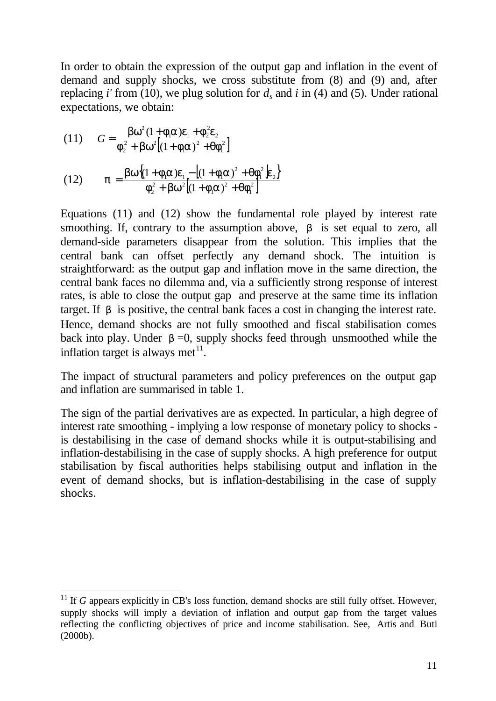In order to obtain the expression of the output gap and inflation in the event of demand and supply shocks, we cross substitute from (8) and (9) and, after replacing *i'* from (10), we plug solution for  $d_s$  and *i* in (4) and (5). Under rational expectations, we obtain:

(11) 
$$
G = \frac{bw^2(1 + f_1a)e_1 + f_2^2e_2}{f_2^2 + bw^2[(1 + f_1a)^2 + qf_1^2]}
$$

l

(12) 
$$
p = \frac{bw\{(1 + f_1a)e_1 - [(1 + f_1a)^2 + qf_1^2]e_2\}}{f_2^2 + bw^2[(1 + f_1a)^2 + qf_1^2]}
$$

Equations (11) and (12) show the fundamental role played by interest rate smoothing. If, contrary to the assumption above, *b* is set equal to zero, all demand-side parameters disappear from the solution. This implies that the central bank can offset perfectly any demand shock. The intuition is straightforward: as the output gap and inflation move in the same direction, the central bank faces no dilemma and, via a sufficiently strong response of interest rates, is able to close the output gap and preserve at the same time its inflation target. If *b* is positive, the central bank faces a cost in changing the interest rate. Hence, demand shocks are not fully smoothed and fiscal stabilisation comes back into play. Under **, supply shocks feed through unsmoothed while the** inflation target is always met $^{11}$ .

The impact of structural parameters and policy preferences on the output gap and inflation are summarised in table 1.

The sign of the partial derivatives are as expected. In particular, a high degree of interest rate smoothing - implying a low response of monetary policy to shocks is destabilising in the case of demand shocks while it is output-stabilising and inflation-destabilising in the case of supply shocks. A high preference for output stabilisation by fiscal authorities helps stabilising output and inflation in the event of demand shocks, but is inflation-destabilising in the case of supply shocks.

 $11$  If *G* appears explicitly in CB's loss function, demand shocks are still fully offset. However, supply shocks will imply a deviation of inflation and output gap from the target values reflecting the conflicting objectives of price and income stabilisation. See, Artis and Buti  $(2000b)$ .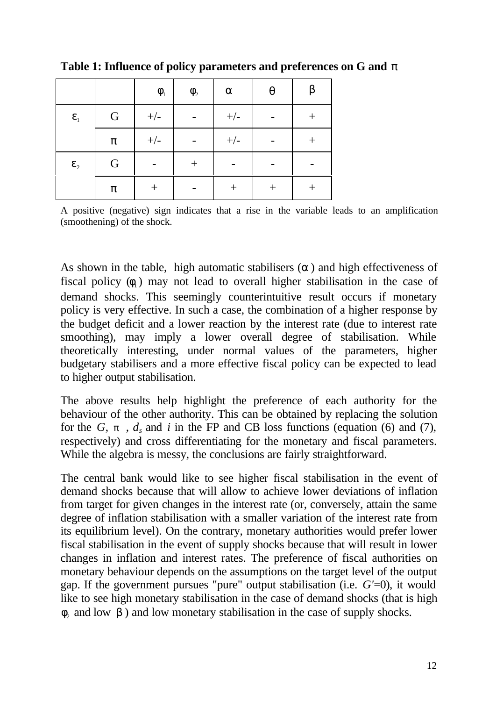|                                  |                  | $\boldsymbol{f}_{\!\scriptscriptstyle 1}$ | $\boldsymbol{f}_{\!\scriptscriptstyle 2}$ | $\boldsymbol{a}$ | $\boldsymbol{q}$ | $\bm{b}$         |
|----------------------------------|------------------|-------------------------------------------|-------------------------------------------|------------------|------------------|------------------|
| $\pmb{e}_{\scriptscriptstyle 1}$ | ${\bf G}$        | $+/-$                                     |                                           | $+/-$            |                  |                  |
|                                  | $\boldsymbol{p}$ | $+/-$                                     |                                           | $+/-$            |                  | $\boldsymbol{+}$ |
| $\pmb{e}_2$                      | $\mathbf G$      |                                           |                                           |                  |                  |                  |
|                                  | $\boldsymbol{p}$ |                                           |                                           |                  |                  |                  |

**Table 1: Influence of policy parameters and preferences on G and** *p*

A positive (negative) sign indicates that a rise in the variable leads to an amplification (smoothening) of the shock.

As shown in the table, high automatic stabilisers (*a* ) and high effectiveness of fiscal policy  $(f_1)$  may not lead to overall higher stabilisation in the case of demand shocks. This seemingly counterintuitive result occurs if monetary policy is very effective. In such a case, the combination of a higher response by the budget deficit and a lower reaction by the interest rate (due to interest rate smoothing), may imply a lower overall degree of stabilisation. While theoretically interesting, under normal values of the parameters, higher budgetary stabilisers and a more effective fiscal policy can be expected to lead to higher output stabilisation.

The above results help highlight the preference of each authority for the behaviour of the other authority. This can be obtained by replacing the solution for the  $G$ ,  $p$ ,  $d_s$  and  $i$  in the FP and CB loss functions (equation (6) and (7), respectively) and cross differentiating for the monetary and fiscal parameters. While the algebra is messy, the conclusions are fairly straightforward.

The central bank would like to see higher fiscal stabilisation in the event of demand shocks because that will allow to achieve lower deviations of inflation from target for given changes in the interest rate (or, conversely, attain the same degree of inflation stabilisation with a smaller variation of the interest rate from its equilibrium level). On the contrary, monetary authorities would prefer lower fiscal stabilisation in the event of supply shocks because that will result in lower changes in inflation and interest rates. The preference of fiscal authorities on monetary behaviour depends on the assumptions on the target level of the output gap. If the government pursues "pure" output stabilisation (i.e. *G'*=0), it would like to see high monetary stabilisation in the case of demand shocks (that is high  $f_2$  and low  $b$ ) and low monetary stabilisation in the case of supply shocks.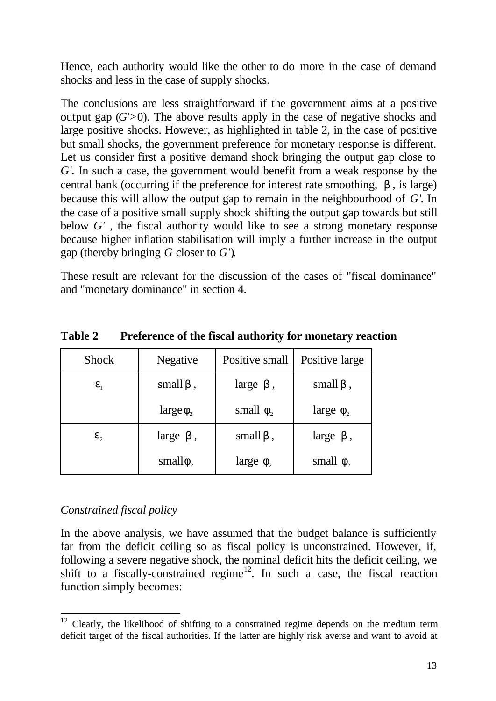Hence, each authority would like the other to do more in the case of demand shocks and less in the case of supply shocks.

The conclusions are less straightforward if the government aims at a positive output gap  $(G' > 0)$ . The above results apply in the case of negative shocks and large positive shocks. However, as highlighted in table 2, in the case of positive but small shocks, the government preference for monetary response is different. Let us consider first a positive demand shock bringing the output gap close to *G'.* In such a case, the government would benefit from a weak response by the central bank (occurring if the preference for interest rate smoothing, *b* , is large) because this will allow the output gap to remain in the neighbourhood of *G'*. In the case of a positive small supply shock shifting the output gap towards but still below *G'* , the fiscal authority would like to see a strong monetary response because higher inflation stabilisation will imply a further increase in the output gap (thereby bringing *G* closer to *G'*).

These result are relevant for the discussion of the cases of "fiscal dominance" and "monetary dominance" in section 4.

| <b>Shock</b>         | <b>Negative</b>  | Positive small   | Positive large       |
|----------------------|------------------|------------------|----------------------|
| $\boldsymbol{e}_1$   | small $\bm{b}$ , | large $\bm{b}$ , | small $\bm{b}$ ,     |
|                      | large $f_{2}$    | small $f2$       | large $f2$           |
| $\boldsymbol{e}_{2}$ | large $\bm{b}$ , | small $\bm{b}$ , | large $\mathbf{b}$ , |
|                      | small $f_{2}$    | large $f2$       | small $f2$           |

**Table 2 Preference of the fiscal authority for monetary reaction**

## *Constrained fiscal policy*

l

In the above analysis, we have assumed that the budget balance is sufficiently far from the deficit ceiling so as fiscal policy is unconstrained. However, if, following a severe negative shock, the nominal deficit hits the deficit ceiling, we shift to a fiscally-constrained regime<sup>12</sup>. In such a case, the fiscal reaction function simply becomes:

 $12$  Clearly, the likelihood of shifting to a constrained regime depends on the medium term deficit target of the fiscal authorities. If the latter are highly risk averse and want to avoid at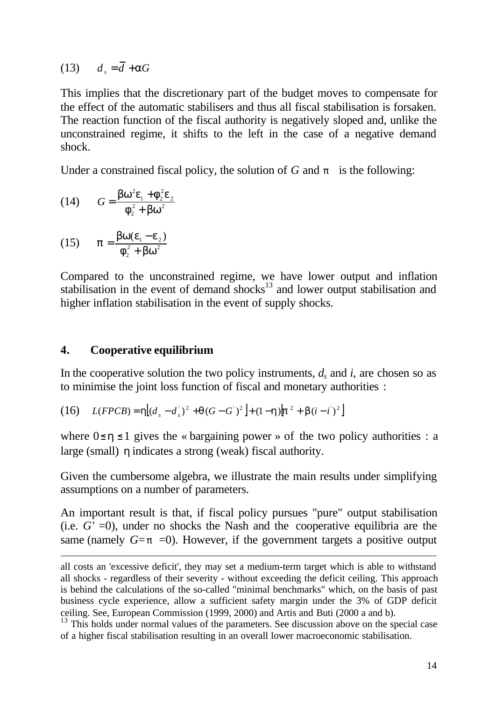(13)  $d = \overline{d} + aG$ 

This implies that the discretionary part of the budget moves to compensate for the effect of the automatic stabilisers and thus all fiscal stabilisation is forsaken. The reaction function of the fiscal authority is negatively sloped and, unlike the unconstrained regime, it shifts to the left in the case of a negative demand shock.

Under a constrained fiscal policy, the solution of *G* and *p* is the following:

(14) 
$$
G = \frac{bw^2e_1 + f_2^2e_2}{f_2^2 + bw^2}
$$

(15) 
$$
p = \frac{bw(e_1 - e_2)}{f_2^2 + bw^2}
$$

l

Compared to the unconstrained regime, we have lower output and inflation stabilisation in the event of demand shocks<sup>13</sup> and lower output stabilisation and higher inflation stabilisation in the event of supply shocks.

#### **4. Cooperative equilibrium**

In the cooperative solution the two policy instruments,  $d_s$  and  $i$ , are chosen so as to minimise the joint loss function of fiscal and monetary authorities :

(16) 
$$
L(FPCB) = \mathbf{h}[(d_s - d_s)^2 + \mathbf{q}(G - G^2)^2] + (1 - \mathbf{h})[\mathbf{p}^2 + \mathbf{b}(i - i)^2]
$$

where  $0 \leq h \leq 1$  gives the « bargaining power » of the two policy authorities : a large (small) *h* indicates a strong (weak) fiscal authority.

Given the cumbersome algebra, we illustrate the main results under simplifying assumptions on a number of parameters.

An important result is that, if fiscal policy pursues "pure" output stabilisation (i.e.  $G' = 0$ ), under no shocks the Nash and the cooperative equilibria are the same (namely  $G = p = 0$ ). However, if the government targets a positive output

all costs an 'excessive deficit', they may set a medium-term target which is able to withstand all shocks - regardless of their severity - without exceeding the deficit ceiling. This approach is behind the calculations of the so-called "minimal benchmarks" which, on the basis of past business cycle experience, allow a sufficient safety margin under the 3% of GDP deficit ceiling. See, European Commission (1999, 2000) and Artis and Buti (2000 a and b).

<sup>&</sup>lt;sup>13</sup> This holds under normal values of the parameters. See discussion above on the special case of a higher fiscal stabilisation resulting in an overall lower macroeconomic stabilisation.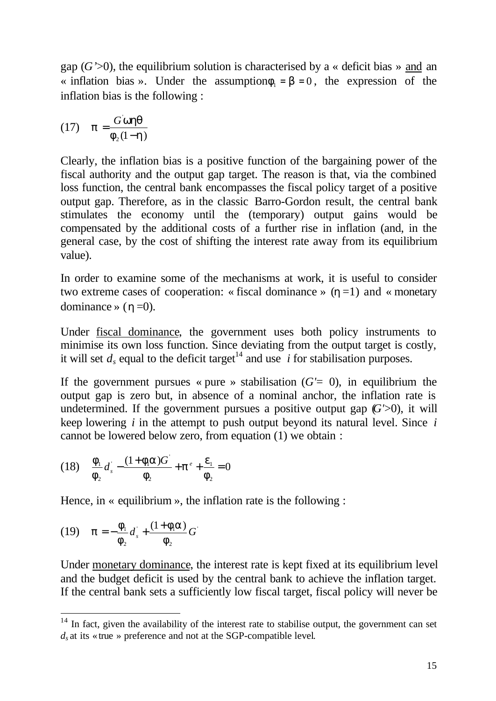gap  $(G' > 0)$ , the equilibrium solution is characterised by a « deficit bias » and an « inflation bias ». Under the assumption $f_1 = b = 0$ , the expression of the inflation bias is the following :

$$
(17) \quad p = \frac{G \text{ whq}}{F_2(1-h)}
$$

Clearly, the inflation bias is a positive function of the bargaining power of the fiscal authority and the output gap target. The reason is that, via the combined loss function, the central bank encompasses the fiscal policy target of a positive output gap. Therefore, as in the classic Barro-Gordon result, the central bank stimulates the economy until the (temporary) output gains would be compensated by the additional costs of a further rise in inflation (and, in the general case, by the cost of shifting the interest rate away from its equilibrium value).

In order to examine some of the mechanisms at work, it is useful to consider two extreme cases of cooperation: « fiscal dominance »  $(h=1)$  and « monetary dominance »  $(***h***=0)$ .

Under fiscal dominance, the government uses both policy instruments to minimise its own loss function. Since deviating from the output target is costly, it will set  $d_s$  equal to the deficit target<sup>14</sup> and use *i* for stabilisation purposes.

If the government pursues « pure » stabilisation  $(G' = 0)$ , in equilibrium the output gap is zero but, in absence of a nominal anchor, the inflation rate is undetermined. If the government pursues a positive output gap  $(G \ge 0)$ , it will keep lowering *i* in the attempt to push output beyond its natural level. Since *i* cannot be lowered below zero, from equation (1) we obtain :

(18) 
$$
\frac{f_1}{f_2}d_s - \frac{(1+f_1a)G^2}{f_2} + p^e + \frac{e_1}{f_2} = 0
$$

Hence, in « equilibrium », the inflation rate is the following :

(19) 
$$
p = -\frac{F_1}{F_2}d_s + \frac{(1 + F_1a)}{F_2}G
$$

l

Under monetary dominance, the interest rate is kept fixed at its equilibrium level and the budget deficit is used by the central bank to achieve the inflation target. If the central bank sets a sufficiently low fiscal target, fiscal policy will never be

 $14$  In fact, given the availability of the interest rate to stabilise output, the government can set  $d<sub>s</sub>$  at its « true » preference and not at the SGP-compatible level.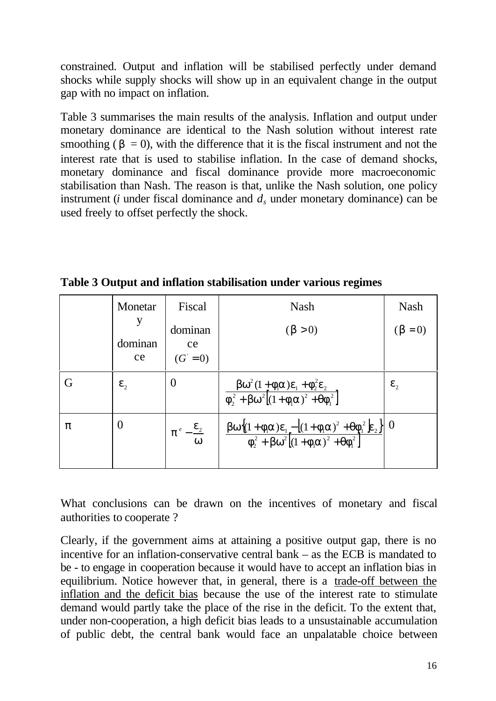constrained. Output and inflation will be stabilised perfectly under demand shocks while supply shocks will show up in an equivalent change in the output gap with no impact on inflation.

Table 3 summarises the main results of the analysis. Inflation and output under monetary dominance are identical to the Nash solution without interest rate smoothing ( $\mathbf{b} = 0$ ), with the difference that it is the fiscal instrument and not the interest rate that is used to stabilise inflation. In the case of demand shocks, monetary dominance and fiscal dominance provide more macroeconomic stabilisation than Nash. The reason is that, unlike the Nash solution, one policy instrument ( $i$  under fiscal dominance and  $d_s$  under monetary dominance) can be used freely to offset perfectly the shock.

|                  | Monetar          | Fiscal                                        | <b>Nash</b>                                                                                                                                                                                                                                                                                               | <b>Nash</b>        |
|------------------|------------------|-----------------------------------------------|-----------------------------------------------------------------------------------------------------------------------------------------------------------------------------------------------------------------------------------------------------------------------------------------------------------|--------------------|
|                  | dominan<br>ce    | dominan<br>ce<br>$(G = 0)$                    | $(b>0)$                                                                                                                                                                                                                                                                                                   | $(b=0)$            |
| G                | $\mathbf{e}_{2}$ | $\theta$                                      | $\frac{bw^2(1+f_1a)e_1+f_2^2e_2}{f_2^2+bw^2[(1+f_1a)^2+qf_1^2]}$                                                                                                                                                                                                                                          | $\boldsymbol{e}_2$ |
| $\boldsymbol{p}$ |                  | $\boldsymbol{e}_2$<br>$\boldsymbol{p}^e$<br>W | $\frac{\mathbf{b} \mathbf{w} \big\{ (1 + \mathbf{f}_i \mathbf{a}) \mathbf{e}_1 - \big[ (1 + \mathbf{f}_i \mathbf{a})^2 + \mathbf{q} \mathbf{f}_1^2 \big] \mathbf{e}_2 \big\}}{\mathbf{f}_2^2 + \mathbf{b} \mathbf{w}^2 \big[ (1 + \mathbf{f}_i \mathbf{a})^2 + \mathbf{q} \mathbf{f}_1^2 \big]} \Bigg  0$ |                    |

**Table 3 Output and inflation stabilisation under various regimes**

What conclusions can be drawn on the incentives of monetary and fiscal authorities to cooperate ?

Clearly, if the government aims at attaining a positive output gap, there is no incentive for an inflation-conservative central bank – as the ECB is mandated to be - to engage in cooperation because it would have to accept an inflation bias in equilibrium. Notice however that, in general, there is a trade-off between the inflation and the deficit bias because the use of the interest rate to stimulate demand would partly take the place of the rise in the deficit. To the extent that, under non-cooperation, a high deficit bias leads to a unsustainable accumulation of public debt, the central bank would face an unpalatable choice between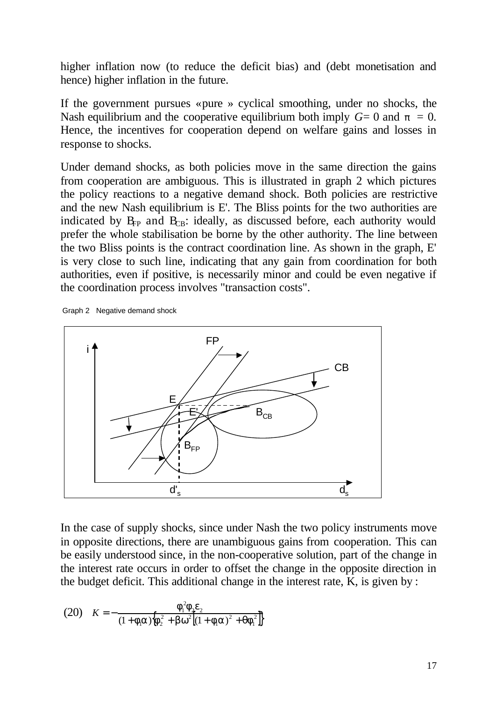higher inflation now (to reduce the deficit bias) and (debt monetisation and hence) higher inflation in the future.

If the government pursues « pure » cyclical smoothing, under no shocks, the Nash equilibrium and the cooperative equilibrium both imply  $G=0$  and  $p = 0$ . Hence, the incentives for cooperation depend on welfare gains and losses in response to shocks.

Under demand shocks, as both policies move in the same direction the gains from cooperation are ambiguous. This is illustrated in graph 2 which pictures the policy reactions to a negative demand shock. Both policies are restrictive and the new Nash equilibrium is E'. The Bliss points for the two authorities are indicated by  $B_{FP}$  and  $B_{CB}$ : ideally, as discussed before, each authority would prefer the whole stabilisation be borne by the other authority. The line between the two Bliss points is the contract coordination line. As shown in the graph, E' is very close to such line, indicating that any gain from coordination for both authorities, even if positive, is necessarily minor and could be even negative if the coordination process involves "transaction costs".

Graph 2 Negative demand shock



In the case of supply shocks, since under Nash the two policy instruments move in opposite directions, there are unambiguous gains from cooperation. This can be easily understood since, in the non-cooperative solution, part of the change in the interest rate occurs in order to offset the change in the opposite direction in the budget deficit. This additional change in the interest rate,  $\overline{K}$ , is given by :

(20) 
$$
K = -\frac{f_1^2 f_2 e_2}{(1 + f_1 a)\{f_2^2 + b w^2 \left[ (1 + f_1 a)^2 + q f_1^2 \right] \}}
$$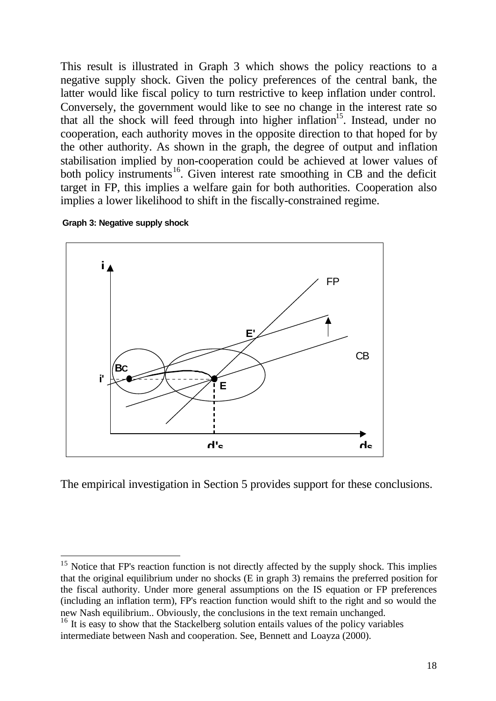This result is illustrated in Graph 3 which shows the policy reactions to a negative supply shock. Given the policy preferences of the central bank, the latter would like fiscal policy to turn restrictive to keep inflation under control. Conversely, the government would like to see no change in the interest rate so that all the shock will feed through into higher inflation<sup>15</sup>. Instead, under no cooperation, each authority moves in the opposite direction to that hoped for by the other authority. As shown in the graph, the degree of output and inflation stabilisation implied by non-cooperation could be achieved at lower values of both policy instruments<sup>16</sup>. Given interest rate smoothing in CB and the deficit target in FP, this implies a welfare gain for both authorities. Cooperation also implies a lower likelihood to shift in the fiscally-constrained regime.



l



The empirical investigation in Section 5 provides support for these conclusions.

 $15$  Notice that FP's reaction function is not directly affected by the supply shock. This implies that the original equilibrium under no shocks (E in graph 3) remains the preferred position for the fiscal authority. Under more general assumptions on the IS equation or FP preferences (including an inflation term), FP's reaction function would shift to the right and so would the new Nash equilibrium.. Obviously, the conclusions in the text remain unchanged.

<sup>&</sup>lt;sup>16</sup> It is easy to show that the Stackelberg solution entails values of the policy variables intermediate between Nash and cooperation. See, Bennett and Loayza (2000).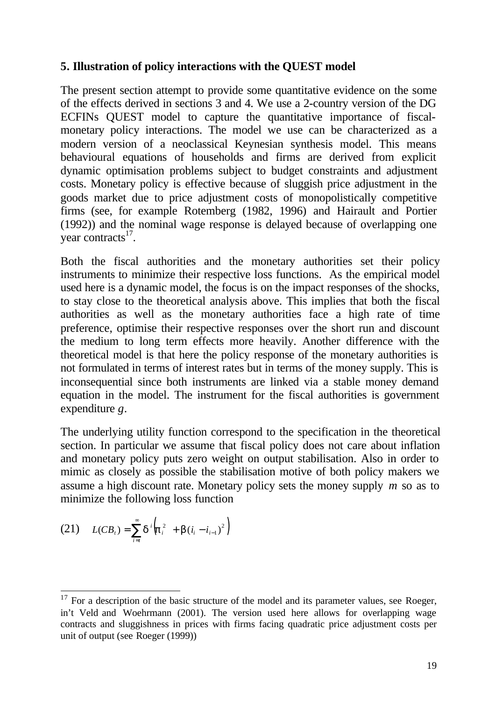#### **5. Illustration of policy interactions with the QUEST model**

The present section attempt to provide some quantitative evidence on the some of the effects derived in sections 3 and 4. We use a 2-country version of the DG ECFINs QUEST model to capture the quantitative importance of fiscalmonetary policy interactions. The model we use can be characterized as a modern version of a neoclassical Keynesian synthesis model. This means behavioural equations of households and firms are derived from explicit dynamic optimisation problems subject to budget constraints and adjustment costs. Monetary policy is effective because of sluggish price adjustment in the goods market due to price adjustment costs of monopolistically competitive firms (see, for example Rotemberg (1982, 1996) and Hairault and Portier (1992)) and the nominal wage response is delayed because of overlapping one year contracts $^{17}$ .

Both the fiscal authorities and the monetary authorities set their policy instruments to minimize their respective loss functions. As the empirical model used here is a dynamic model, the focus is on the impact responses of the shocks, to stay close to the theoretical analysis above. This implies that both the fiscal authorities as well as the monetary authorities face a high rate of time preference, optimise their respective responses over the short run and discount the medium to long term effects more heavily. Another difference with the theoretical model is that here the policy response of the monetary authorities is not formulated in terms of interest rates but in terms of the money supply. This is inconsequential since both instruments are linked via a stable money demand equation in the model. The instrument for the fiscal authorities is government expenditure *g*.

The underlying utility function correspond to the specification in the theoretical section. In particular we assume that fiscal policy does not care about inflation and monetary policy puts zero weight on output stabilisation. Also in order to mimic as closely as possible the stabilisation motive of both policy makers we assume a high discount rate. Monetary policy sets the money supply *m* so as to minimize the following loss function

(21) 
$$
L(CB_t) = \sum_{i=t}^{\infty} d^i \left( \mathbf{p}_i^2 + \mathbf{b} (i_i - i_{i-1})^2 \right)
$$

l  $17$  For a description of the basic structure of the model and its parameter values, see Roeger, in't Veld and Woehrmann (2001). The version used here allows for overlapping wage contracts and sluggishness in prices with firms facing quadratic price adjustment costs per unit of output (see Roeger (1999))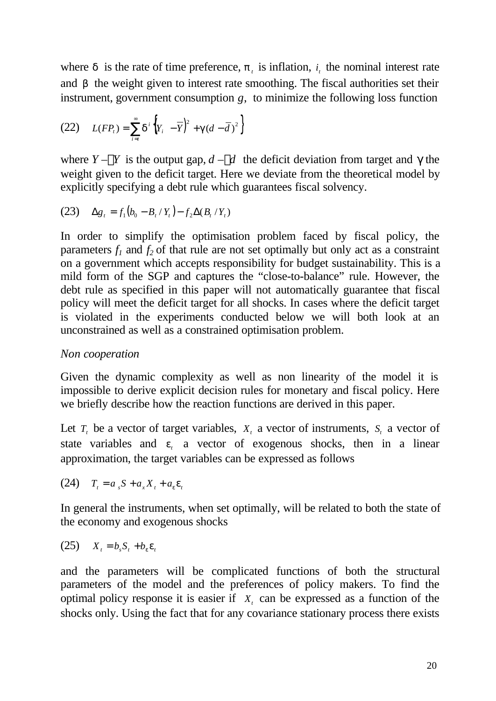where  $d$  is the rate of time preference,  $p_t$  is inflation,  $i_t$  the nominal interest rate and *b* the weight given to interest rate smoothing. The fiscal authorities set their instrument, government consumption *g*, to minimize the following loss function

(22) 
$$
L(FP_t) = \sum_{i=t}^{\infty} d^i \left\{ Y_i - \overline{Y} \right\}^2 + g(d - \overline{d})^2 \right\}
$$

where  $Y - Y$  is the output gap,  $d - d$  the deficit deviation from target and  $\gamma$  the weight given to the deficit target. Here we deviate from the theoretical model by explicitly specifying a debt rule which guarantees fiscal solvency.

(23) 
$$
\Delta g_t = f_1(b_0 - B_t / Y_t) - f_2 \Delta(B_t / Y_t)
$$

In order to simplify the optimisation problem faced by fiscal policy, the parameters  $f_i$  and  $f_2$  of that rule are not set optimally but only act as a constraint on a government which accepts responsibility for budget sustainability. This is a mild form of the SGP and captures the "close-to-balance" rule. However, the debt rule as specified in this paper will not automatically guarantee that fiscal policy will meet the deficit target for all shocks. In cases where the deficit target is violated in the experiments conducted below we will both look at an unconstrained as well as a constrained optimisation problem.

#### *Non cooperation*

Given the dynamic complexity as well as non linearity of the model it is impossible to derive explicit decision rules for monetary and fiscal policy. Here we briefly describe how the reaction functions are derived in this paper.

Let  $T<sub>t</sub>$  be a vector of target variables,  $X<sub>t</sub>$  a vector of instruments,  $S<sub>t</sub>$  a vector of state variables and  $e_i$  a vector of exogenous shocks, then in a linear approximation, the target variables can be expressed as follows

 $(24)$   $T_t = a_s S + a_x X_t + a_e \mathbf{e}_t$ 

In general the instruments, when set optimally, will be related to both the state of the economy and exogenous shocks

$$
(25) \tXt = bsSt + beet
$$

and the parameters will be complicated functions of both the structural parameters of the model and the preferences of policy makers. To find the optimal policy response it is easier if  $X_t$  can be expressed as a function of the shocks only. Using the fact that for any covariance stationary process there exists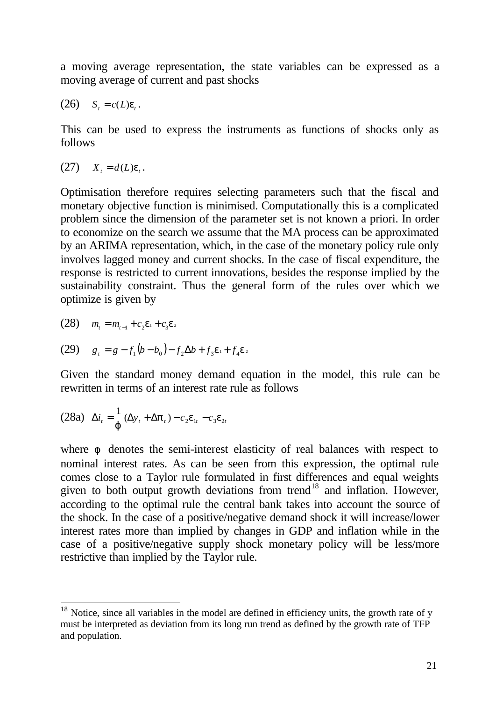a moving average representation, the state variables can be expressed as a moving average of current and past shocks

$$
(26) \tS_t = c(L)\boldsymbol{e}_t.
$$

This can be used to express the instruments as functions of shocks only as follows

 $(27)$   $X_t = d(L)\mathbf{e}_t$ .

Optimisation therefore requires selecting parameters such that the fiscal and monetary objective function is minimised. Computationally this is a complicated problem since the dimension of the parameter set is not known a priori. In order to economize on the search we assume that the MA process can be approximated by an ARIMA representation, which, in the case of the monetary policy rule only involves lagged money and current shocks. In the case of fiscal expenditure, the response is restricted to current innovations, besides the response implied by the sustainability constraint. Thus the general form of the rules over which we optimize is given by

(28) 
$$
m_t = m_{t-1} + c_2 e_1 + c_3 e_2
$$

l

(29) 
$$
g_t = \overline{g} - f_1(b - b_0) - f_2 \Delta b + f_3 e_1 + f_4 e_2
$$

Given the standard money demand equation in the model, this rule can be rewritten in terms of an interest rate rule as follows

$$
(28a) \quad \Delta i_t = \frac{1}{\boldsymbol{j}} (\Delta y_t + \Delta \boldsymbol{p}_t) - c_2 \boldsymbol{e}_{1t} - c_3 \boldsymbol{e}_{2t}
$$

where *j* denotes the semi-interest elasticity of real balances with respect to nominal interest rates. As can be seen from this expression, the optimal rule comes close to a Taylor rule formulated in first differences and equal weights given to both output growth deviations from trend<sup>18</sup> and inflation. However, according to the optimal rule the central bank takes into account the source of the shock. In the case of a positive/negative demand shock it will increase/lower interest rates more than implied by changes in GDP and inflation while in the case of a positive/negative supply shock monetary policy will be less/more restrictive than implied by the Taylor rule.

 $18$  Notice, since all variables in the model are defined in efficiency units, the growth rate of y must be interpreted as deviation from its long run trend as defined by the growth rate of TFP and population.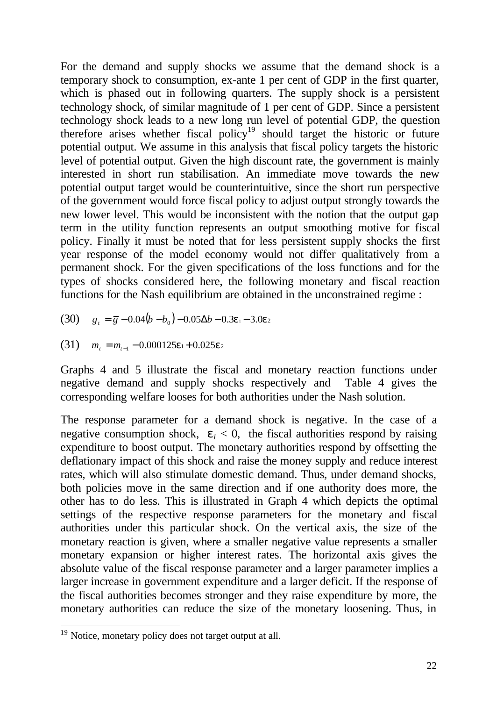For the demand and supply shocks we assume that the demand shock is a temporary shock to consumption, ex-ante 1 per cent of GDP in the first quarter, which is phased out in following quarters. The supply shock is a persistent technology shock, of similar magnitude of 1 per cent of GDP. Since a persistent technology shock leads to a new long run level of potential GDP, the question therefore arises whether fiscal policy<sup>19</sup> should target the historic or future potential output. We assume in this analysis that fiscal policy targets the historic level of potential output. Given the high discount rate, the government is mainly interested in short run stabilisation. An immediate move towards the new potential output target would be counterintuitive, since the short run perspective of the government would force fiscal policy to adjust output strongly towards the new lower level. This would be inconsistent with the notion that the output gap term in the utility function represents an output smoothing motive for fiscal policy. Finally it must be noted that for less persistent supply shocks the first year response of the model economy would not differ qualitatively from a permanent shock. For the given specifications of the loss functions and for the types of shocks considered here, the following monetary and fiscal reaction functions for the Nash equilibrium are obtained in the unconstrained regime :

$$
(30) \t gt = \overline{g} - 0.04(b - b0) - 0.05\Delta b - 0.3e1 - 3.0e2
$$

(31) 
$$
m_t = m_{t-1} - 0.000125\mathbf{e}_1 + 0.025\mathbf{e}_2
$$

Graphs 4 and 5 illustrate the fiscal and monetary reaction functions under negative demand and supply shocks respectively and Table 4 gives the corresponding welfare looses for both authorities under the Nash solution.

The response parameter for a demand shock is negative. In the case of a negative consumption shock,  $e_1 < 0$ , the fiscal authorities respond by raising expenditure to boost output. The monetary authorities respond by offsetting the deflationary impact of this shock and raise the money supply and reduce interest rates, which will also stimulate domestic demand. Thus, under demand shocks, both policies move in the same direction and if one authority does more, the other has to do less. This is illustrated in Graph 4 which depicts the optimal settings of the respective response parameters for the monetary and fiscal authorities under this particular shock. On the vertical axis, the size of the monetary reaction is given, where a smaller negative value represents a smaller monetary expansion or higher interest rates. The horizontal axis gives the absolute value of the fiscal response parameter and a larger parameter implies a larger increase in government expenditure and a larger deficit. If the response of the fiscal authorities becomes stronger and they raise expenditure by more, the monetary authorities can reduce the size of the monetary loosening. Thus, in

 $19$  Notice, monetary policy does not target output at all.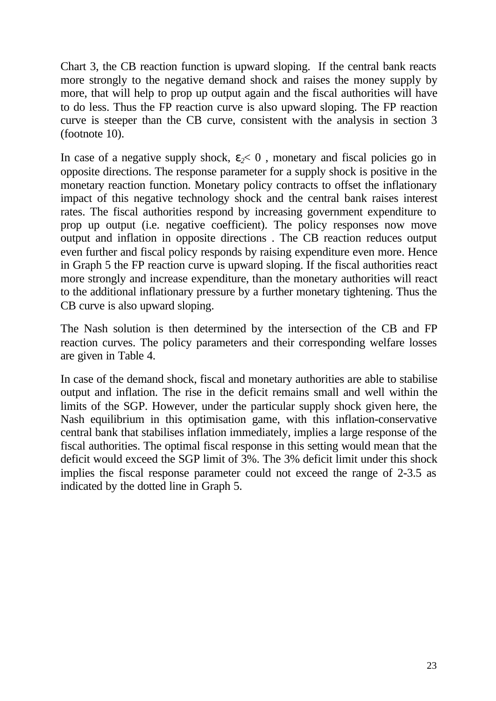Chart 3, the CB reaction function is upward sloping. If the central bank reacts more strongly to the negative demand shock and raises the money supply by more, that will help to prop up output again and the fiscal authorities will have to do less. Thus the FP reaction curve is also upward sloping. The FP reaction curve is steeper than the CB curve, consistent with the analysis in section 3 (footnote 10).

In case of a negative supply shock,  $e_2 < 0$ , monetary and fiscal policies go in opposite directions. The response parameter for a supply shock is positive in the monetary reaction function. Monetary policy contracts to offset the inflationary impact of this negative technology shock and the central bank raises interest rates. The fiscal authorities respond by increasing government expenditure to prop up output (i.e. negative coefficient). The policy responses now move output and inflation in opposite directions . The CB reaction reduces output even further and fiscal policy responds by raising expenditure even more. Hence in Graph 5 the FP reaction curve is upward sloping. If the fiscal authorities react more strongly and increase expenditure, than the monetary authorities will react to the additional inflationary pressure by a further monetary tightening. Thus the CB curve is also upward sloping.

The Nash solution is then determined by the intersection of the CB and FP reaction curves. The policy parameters and their corresponding welfare losses are given in Table 4.

In case of the demand shock, fiscal and monetary authorities are able to stabilise output and inflation. The rise in the deficit remains small and well within the limits of the SGP. However, under the particular supply shock given here, the Nash equilibrium in this optimisation game, with this inflation-conservative central bank that stabilises inflation immediately, implies a large response of the fiscal authorities. The optimal fiscal response in this setting would mean that the deficit would exceed the SGP limit of 3%. The 3% deficit limit under this shock implies the fiscal response parameter could not exceed the range of 2-3.5 as indicated by the dotted line in Graph 5.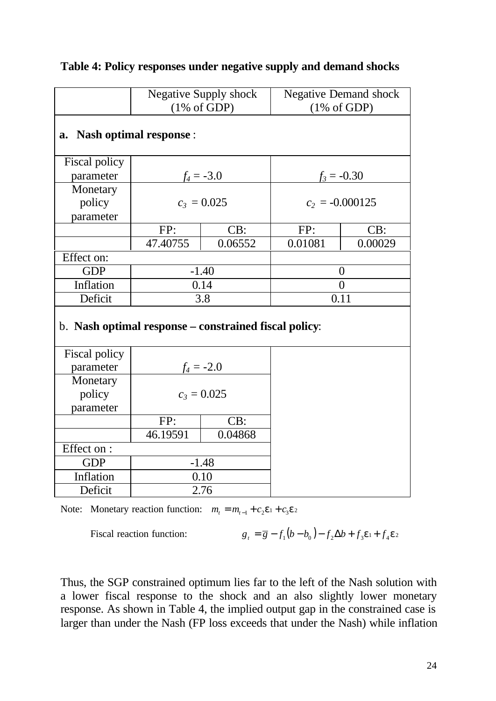|                                                       | <b>Negative Supply shock</b><br>$(1\% \text{ of GDP})$ |               | <b>Negative Demand shock</b><br>$(1\% \text{ of GDP})$ |                   |  |
|-------------------------------------------------------|--------------------------------------------------------|---------------|--------------------------------------------------------|-------------------|--|
| <b>Nash optimal response:</b><br>a.                   |                                                        |               |                                                        |                   |  |
| Fiscal policy                                         |                                                        |               |                                                        |                   |  |
| parameter                                             |                                                        | $f_4 = -3.0$  |                                                        | $f_3 = -0.30$     |  |
| Monetary                                              |                                                        |               |                                                        |                   |  |
| policy                                                |                                                        | $c_3 = 0.025$ |                                                        | $c_2 = -0.000125$ |  |
| parameter                                             |                                                        |               |                                                        |                   |  |
|                                                       | FP:                                                    | CB:           | FP:                                                    | CB:               |  |
|                                                       | 47.40755                                               | 0.06552       | 0.01081                                                | 0.00029           |  |
| Effect on:                                            |                                                        |               |                                                        |                   |  |
| <b>GDP</b>                                            |                                                        | $-1.40$       | $\overline{0}$                                         |                   |  |
| Inflation                                             |                                                        | 0.14          | $\overline{0}$                                         |                   |  |
| Deficit                                               |                                                        | 3.8           | 0.11                                                   |                   |  |
| b. Nash optimal response – constrained fiscal policy: |                                                        |               |                                                        |                   |  |
| Fiscal policy                                         |                                                        |               |                                                        |                   |  |
| parameter                                             |                                                        | $f_4 = -2.0$  |                                                        |                   |  |
| Monetary                                              |                                                        |               |                                                        |                   |  |
| policy                                                | $c_3 = 0.025$                                          |               |                                                        |                   |  |
| parameter                                             |                                                        |               |                                                        |                   |  |
|                                                       | FP:                                                    | CB:           |                                                        |                   |  |
|                                                       | 46.19591                                               | 0.04868       |                                                        |                   |  |
| Effect on :                                           |                                                        |               |                                                        |                   |  |
| <b>GDP</b>                                            | $-1.48$                                                |               |                                                        |                   |  |
| Inflation                                             | 0.10                                                   |               |                                                        |                   |  |
| Deficit                                               | 2.76                                                   |               |                                                        |                   |  |

#### **Table 4: Policy responses under negative supply and demand shocks**

Note: Monetary reaction function:  $m_t = m_{t-1} + c_2 e^t + c_3 e^t$ 

Fiscal reaction function:  $\qquad \qquad g$ 

$$
g_t = \overline{g} - f_1(b - b_0) - f_2 \Delta b + f_3 \mathbf{e}_1 + f_4 \mathbf{e}_2
$$

Thus, the SGP constrained optimum lies far to the left of the Nash solution with a lower fiscal response to the shock and an also slightly lower monetary response. As shown in Table 4, the implied output gap in the constrained case is larger than under the Nash (FP loss exceeds that under the Nash) while inflation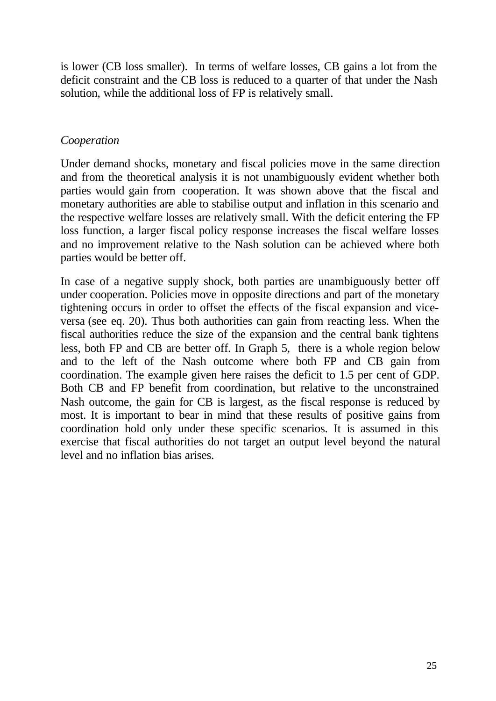is lower (CB loss smaller). In terms of welfare losses, CB gains a lot from the deficit constraint and the CB loss is reduced to a quarter of that under the Nash solution, while the additional loss of FP is relatively small.

#### *Cooperation*

Under demand shocks, monetary and fiscal policies move in the same direction and from the theoretical analysis it is not unambiguously evident whether both parties would gain from cooperation. It was shown above that the fiscal and monetary authorities are able to stabilise output and inflation in this scenario and the respective welfare losses are relatively small. With the deficit entering the FP loss function, a larger fiscal policy response increases the fiscal welfare losses and no improvement relative to the Nash solution can be achieved where both parties would be better off.

In case of a negative supply shock, both parties are unambiguously better off under cooperation. Policies move in opposite directions and part of the monetary tightening occurs in order to offset the effects of the fiscal expansion and viceversa (see eq. 20). Thus both authorities can gain from reacting less. When the fiscal authorities reduce the size of the expansion and the central bank tightens less, both FP and CB are better off. In Graph 5, there is a whole region below and to the left of the Nash outcome where both FP and CB gain from coordination. The example given here raises the deficit to 1.5 per cent of GDP. Both CB and FP benefit from coordination, but relative to the unconstrained Nash outcome, the gain for CB is largest, as the fiscal response is reduced by most. It is important to bear in mind that these results of positive gains from coordination hold only under these specific scenarios. It is assumed in this exercise that fiscal authorities do not target an output level beyond the natural level and no inflation bias arises.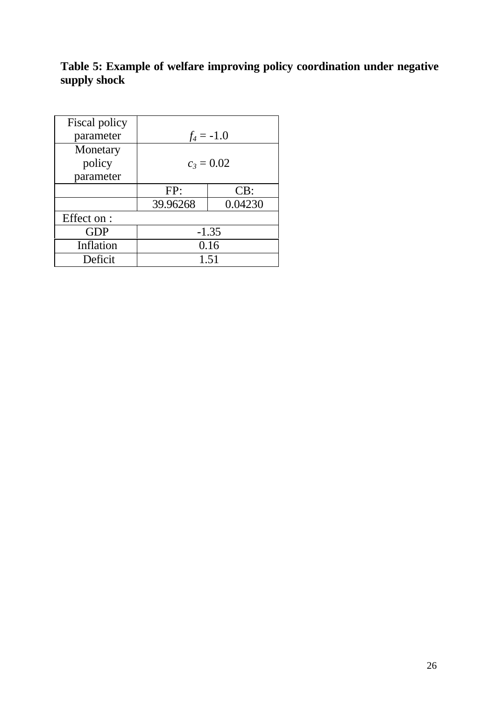## **Table 5: Example of welfare improving policy coordination under negative supply shock**

| Fiscal policy<br>parameter | $f_4 = -1.0$ |         |  |  |
|----------------------------|--------------|---------|--|--|
| Monetary                   |              |         |  |  |
| policy                     | $c_3 = 0.02$ |         |  |  |
| parameter                  |              |         |  |  |
|                            | FP:          | CB:     |  |  |
|                            | 39.96268     | 0.04230 |  |  |
| Effect on :                |              |         |  |  |
| <b>GDP</b>                 | $-1.35$      |         |  |  |
| Inflation                  | 0.16         |         |  |  |
| Deficit                    | 1.51         |         |  |  |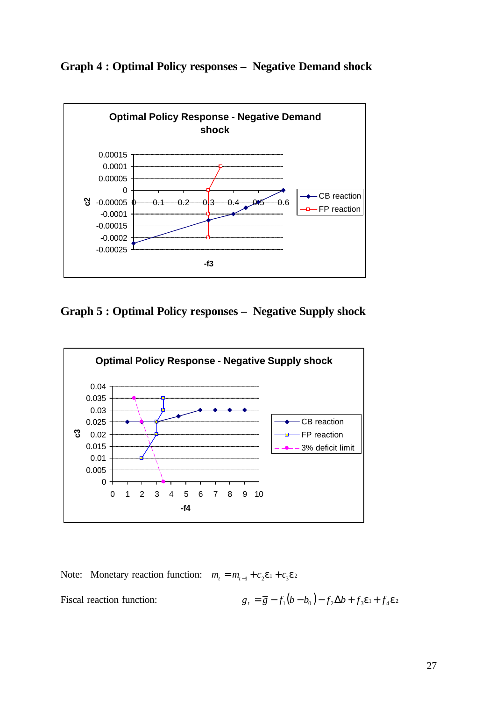#### **Graph 4 : Optimal Policy responses – Negative Demand shock**



**Graph 5 : Optimal Policy responses – Negative Supply shock**



Note: Monetary reaction function:  $m_t = m_{t-1} + c_2 e^t + c_3 e^t$ 

Fiscal reaction function:

$$
g_t = \overline{g} - f_1(b - b_0) - f_2 \Delta b + f_3 \mathbf{e}_1 + f_4 \mathbf{e}_2
$$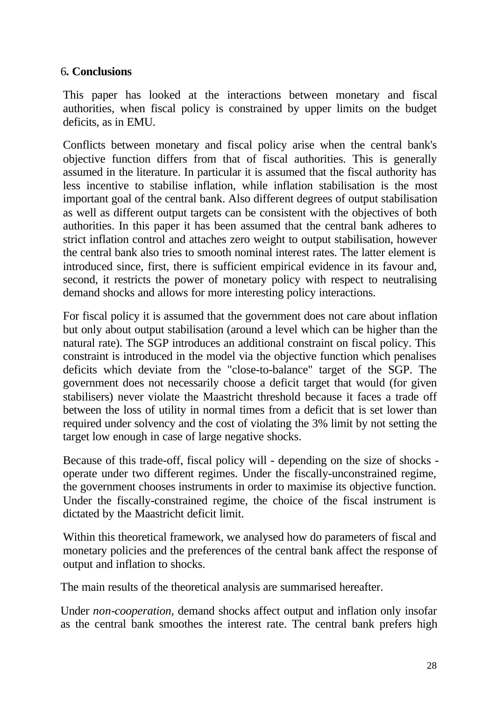#### 6**. Conclusions**

This paper has looked at the interactions between monetary and fiscal authorities, when fiscal policy is constrained by upper limits on the budget deficits, as in EMU.

Conflicts between monetary and fiscal policy arise when the central bank's objective function differs from that of fiscal authorities. This is generally assumed in the literature. In particular it is assumed that the fiscal authority has less incentive to stabilise inflation, while inflation stabilisation is the most important goal of the central bank. Also different degrees of output stabilisation as well as different output targets can be consistent with the objectives of both authorities. In this paper it has been assumed that the central bank adheres to strict inflation control and attaches zero weight to output stabilisation, however the central bank also tries to smooth nominal interest rates. The latter element is introduced since, first, there is sufficient empirical evidence in its favour and, second, it restricts the power of monetary policy with respect to neutralising demand shocks and allows for more interesting policy interactions.

For fiscal policy it is assumed that the government does not care about inflation but only about output stabilisation (around a level which can be higher than the natural rate). The SGP introduces an additional constraint on fiscal policy. This constraint is introduced in the model via the objective function which penalises deficits which deviate from the "close-to-balance" target of the SGP. The government does not necessarily choose a deficit target that would (for given stabilisers) never violate the Maastricht threshold because it faces a trade off between the loss of utility in normal times from a deficit that is set lower than required under solvency and the cost of violating the 3% limit by not setting the target low enough in case of large negative shocks.

Because of this trade-off, fiscal policy will - depending on the size of shocks operate under two different regimes. Under the fiscally-unconstrained regime, the government chooses instruments in order to maximise its objective function. Under the fiscally-constrained regime, the choice of the fiscal instrument is dictated by the Maastricht deficit limit.

Within this theoretical framework, we analysed how do parameters of fiscal and monetary policies and the preferences of the central bank affect the response of output and inflation to shocks.

The main results of the theoretical analysis are summarised hereafter.

Under *non-cooperation,* demand shocks affect output and inflation only insofar as the central bank smoothes the interest rate. The central bank prefers high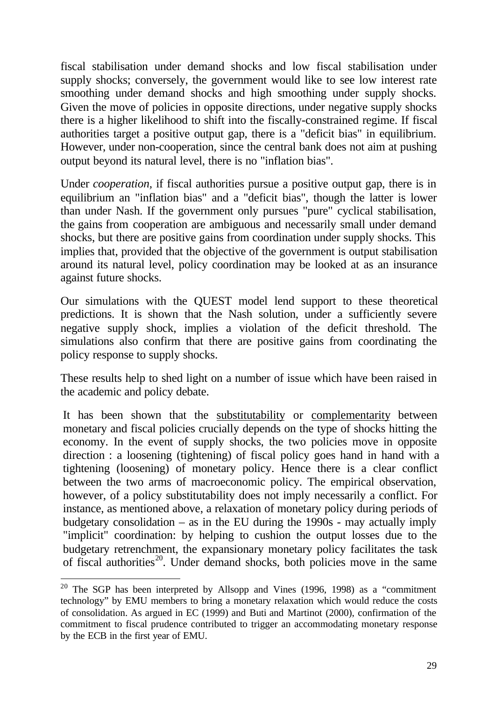fiscal stabilisation under demand shocks and low fiscal stabilisation under supply shocks; conversely, the government would like to see low interest rate smoothing under demand shocks and high smoothing under supply shocks. Given the move of policies in opposite directions, under negative supply shocks there is a higher likelihood to shift into the fiscally-constrained regime. If fiscal authorities target a positive output gap, there is a "deficit bias" in equilibrium. However, under non-cooperation, since the central bank does not aim at pushing output beyond its natural level, there is no "inflation bias".

Under *cooperation,* if fiscal authorities pursue a positive output gap, there is in equilibrium an "inflation bias" and a "deficit bias", though the latter is lower than under Nash. If the government only pursues "pure" cyclical stabilisation, the gains from cooperation are ambiguous and necessarily small under demand shocks, but there are positive gains from coordination under supply shocks. This implies that, provided that the objective of the government is output stabilisation around its natural level, policy coordination may be looked at as an insurance against future shocks.

Our simulations with the QUEST model lend support to these theoretical predictions. It is shown that the Nash solution, under a sufficiently severe negative supply shock, implies a violation of the deficit threshold. The simulations also confirm that there are positive gains from coordinating the policy response to supply shocks.

These results help to shed light on a number of issue which have been raised in the academic and policy debate.

It has been shown that the substitutability or complementarity between monetary and fiscal policies crucially depends on the type of shocks hitting the economy. In the event of supply shocks, the two policies move in opposite direction : a loosening (tightening) of fiscal policy goes hand in hand with a tightening (loosening) of monetary policy. Hence there is a clear conflict between the two arms of macroeconomic policy. The empirical observation, however, of a policy substitutability does not imply necessarily a conflict. For instance, as mentioned above, a relaxation of monetary policy during periods of budgetary consolidation – as in the EU during the  $1990s$  - may actually imply "implicit" coordination: by helping to cushion the output losses due to the budgetary retrenchment, the expansionary monetary policy facilitates the task of fiscal authorities<sup>20</sup>. Under demand shocks, both policies move in the same

<sup>&</sup>lt;sup>20</sup> The SGP has been interpreted by Allsopp and Vines (1996, 1998) as a "commitment technology" by EMU members to bring a monetary relaxation which would reduce the costs of consolidation. As argued in EC (1999) and Buti and Martinot (2000), confirmation of the commitment to fiscal prudence contributed to trigger an accommodating monetary response by the ECB in the first year of EMU.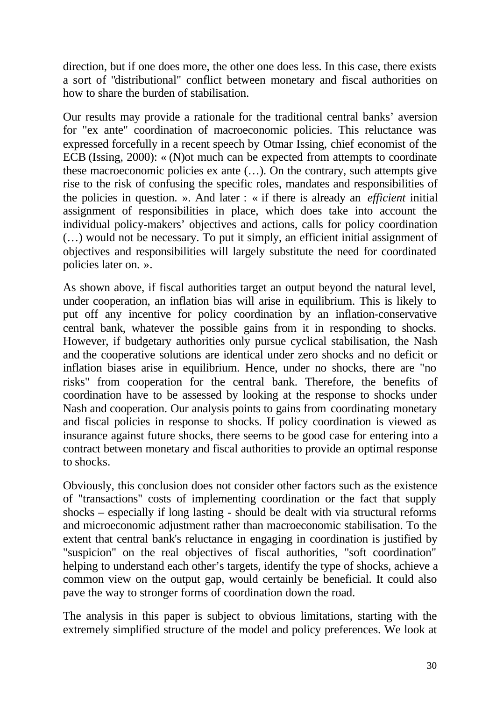direction, but if one does more, the other one does less. In this case, there exists a sort of "distributional" conflict between monetary and fiscal authorities on how to share the burden of stabilisation.

Our results may provide a rationale for the traditional central banks' aversion for "ex ante" coordination of macroeconomic policies. This reluctance was expressed forcefully in a recent speech by Otmar Issing, chief economist of the ECB (Issing, 2000): « (N)ot much can be expected from attempts to coordinate these macroeconomic policies ex ante (…). On the contrary, such attempts give rise to the risk of confusing the specific roles, mandates and responsibilities of the policies in question. ». And later : « if there is already an *efficient* initial assignment of responsibilities in place, which does take into account the individual policy-makers' objectives and actions, calls for policy coordination (…) would not be necessary. To put it simply, an efficient initial assignment of objectives and responsibilities will largely substitute the need for coordinated policies later on. ».

As shown above, if fiscal authorities target an output beyond the natural level, under cooperation, an inflation bias will arise in equilibrium. This is likely to put off any incentive for policy coordination by an inflation-conservative central bank, whatever the possible gains from it in responding to shocks. However, if budgetary authorities only pursue cyclical stabilisation, the Nash and the cooperative solutions are identical under zero shocks and no deficit or inflation biases arise in equilibrium. Hence, under no shocks, there are "no risks" from cooperation for the central bank. Therefore, the benefits of coordination have to be assessed by looking at the response to shocks under Nash and cooperation. Our analysis points to gains from coordinating monetary and fiscal policies in response to shocks. If policy coordination is viewed as insurance against future shocks, there seems to be good case for entering into a contract between monetary and fiscal authorities to provide an optimal response to shocks.

Obviously, this conclusion does not consider other factors such as the existence of "transactions" costs of implementing coordination or the fact that supply shocks – especially if long lasting - should be dealt with via structural reforms and microeconomic adjustment rather than macroeconomic stabilisation. To the extent that central bank's reluctance in engaging in coordination is justified by "suspicion" on the real objectives of fiscal authorities, "soft coordination" helping to understand each other's targets, identify the type of shocks, achieve a common view on the output gap, would certainly be beneficial. It could also pave the way to stronger forms of coordination down the road.

The analysis in this paper is subject to obvious limitations, starting with the extremely simplified structure of the model and policy preferences. We look at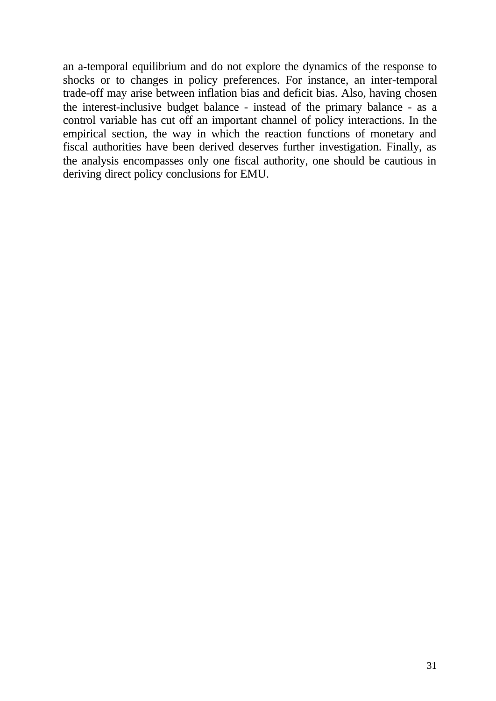an a-temporal equilibrium and do not explore the dynamics of the response to shocks or to changes in policy preferences. For instance, an inter-temporal trade-off may arise between inflation bias and deficit bias. Also, having chosen the interest-inclusive budget balance - instead of the primary balance - as a control variable has cut off an important channel of policy interactions. In the empirical section, the way in which the reaction functions of monetary and fiscal authorities have been derived deserves further investigation. Finally, as the analysis encompasses only one fiscal authority, one should be cautious in deriving direct policy conclusions for EMU.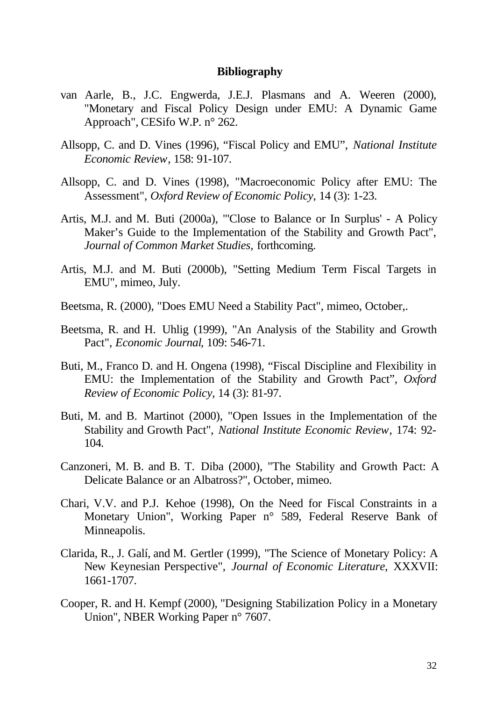#### **Bibliography**

- van Aarle, B., J.C. Engwerda, J.E.J. Plasmans and A. Weeren (2000), "Monetary and Fiscal Policy Design under EMU: A Dynamic Game Approach", CESifo W.P. n° 262.
- Allsopp, C. and D. Vines (1996), "Fiscal Policy and EMU", *National Institute Economic Review*, 158: 91-107.
- Allsopp, C. and D. Vines (1998), "Macroeconomic Policy after EMU: The Assessment", *Oxford Review of Economic Policy*, 14 (3): 1-23.
- Artis, M.J. and M. Buti (2000a), "'Close to Balance or In Surplus' A Policy Maker's Guide to the Implementation of the Stability and Growth Pact", *Journal of Common Market Studies,* forthcoming.
- Artis, M.J. and M. Buti (2000b), "Setting Medium Term Fiscal Targets in EMU", mimeo, July.
- Beetsma, R. (2000), "Does EMU Need a Stability Pact", mimeo, October,.
- Beetsma, R. and H. Uhlig (1999), "An Analysis of the Stability and Growth Pact", *Economic Journal*, 109: 546-71.
- Buti, M., Franco D. and H. Ongena (1998), "Fiscal Discipline and Flexibility in EMU: the Implementation of the Stability and Growth Pact", *Oxford Review of Economic Policy*, 14 (3): 81-97.
- Buti, M. and B. Martinot (2000), "Open Issues in the Implementation of the Stability and Growth Pact", *National Institute Economic Review*, 174: 92- 104.
- Canzoneri, M. B. and B. T. Diba (2000), "The Stability and Growth Pact: A Delicate Balance or an Albatross?", October, mimeo.
- Chari, V.V. and P.J. Kehoe (1998), On the Need for Fiscal Constraints in a Monetary Union", Working Paper n° 589, Federal Reserve Bank of Minneapolis.
- Clarida, R., J. Galí, and M. Gertler (1999), "The Science of Monetary Policy: A New Keynesian Perspective", *Journal of Economic Literature*, XXXVII: 1661-1707.
- Cooper, R. and H. Kempf (2000), "Designing Stabilization Policy in a Monetary Union", NBER Working Paper n° 7607.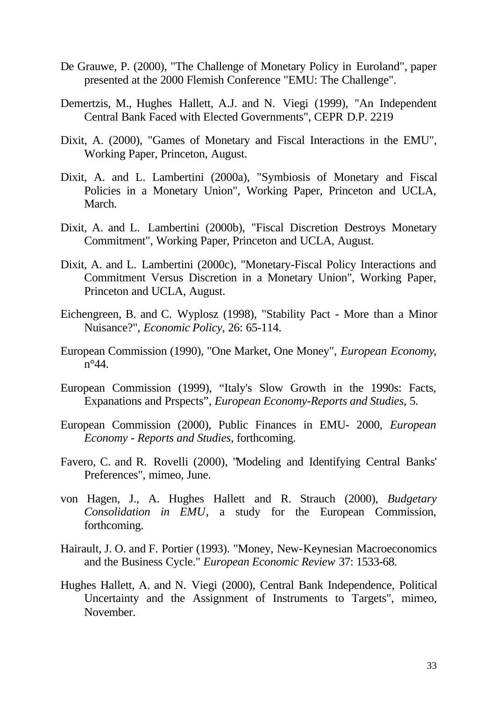- De Grauwe, P. (2000), "The Challenge of Monetary Policy in Euroland", paper presented at the 2000 Flemish Conference "EMU: The Challenge".
- Demertzis, M., Hughes Hallett, A.J. and N. Viegi (1999), "An Independent Central Bank Faced with Elected Governments", CEPR D.P. 2219
- Dixit, A. (2000), "Games of Monetary and Fiscal Interactions in the EMU", Working Paper, Princeton, August.
- Dixit, A. and L. Lambertini (2000a), "Symbiosis of Monetary and Fiscal Policies in a Monetary Union", Working Paper, Princeton and UCLA, March.
- Dixit, A. and L. Lambertini (2000b), "Fiscal Discretion Destroys Monetary Commitment", Working Paper, Princeton and UCLA, August.
- Dixit, A. and L. Lambertini (2000c), "Monetary-Fiscal Policy Interactions and Commitment Versus Discretion in a Monetary Union", Working Paper, Princeton and UCLA, August.
- Eichengreen, B. and C. Wyplosz (1998), "Stability Pact More than a Minor Nuisance?", *Economic Policy*, 26: 65-114.
- European Commission (1990), "One Market, One Money", *European Economy*,  $n^{\circ}44$ .
- European Commission (1999), "Italy's Slow Growth in the 1990s: Facts, Expanations and Prspects", *European Economy-Reports and Studies*, 5.
- European Commission (2000), Public Finances in EMU- 2000, *European Economy - Reports and Studies*, forthcoming.
- Favero, C. and R. Rovelli (2000), "Modeling and Identifying Central Banks' Preferences", mimeo, June.
- von Hagen, J., A. Hughes Hallett and R. Strauch (2000), *Budgetary Consolidation in EMU*, a study for the European Commission, forthcoming.
- Hairault, J. O. and F. Portier (1993). "Money, New-Keynesian Macroeconomics and the Business Cycle." *European Economic Review* 37: 1533-68.
- Hughes Hallett, A. and N. Viegi (2000), Central Bank Independence, Political Uncertainty and the Assignment of Instruments to Targets", mimeo, November.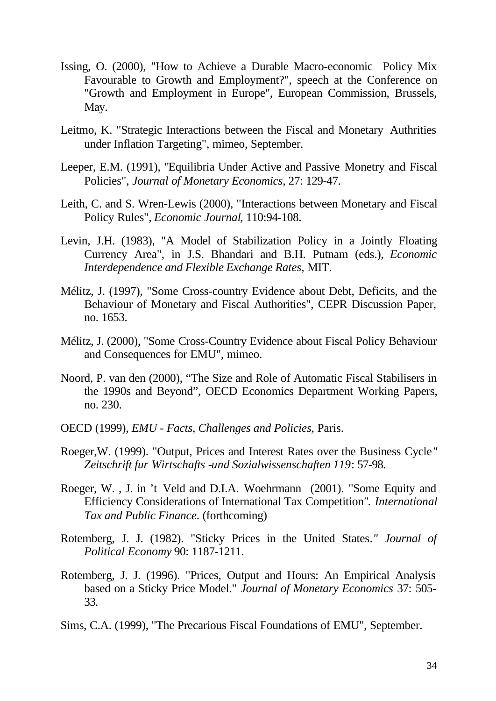- Issing, O. (2000), "How to Achieve a Durable Macro-economic Policy Mix Favourable to Growth and Employment?", speech at the Conference on "Growth and Employment in Europe", European Commission, Brussels, May.
- Leitmo, K. "Strategic Interactions between the Fiscal and Monetary Authrities under Inflation Targeting", mimeo, September.
- Leeper, E.M. (1991), "Equilibria Under Active and Passive Monetry and Fiscal Policies", *Journal of Monetary Economics*, 27: 129-47.
- Leith, C. and S. Wren-Lewis (2000), "Interactions between Monetary and Fiscal Policy Rules", *Economic Journal*, 110:94-108.
- Levin, J.H. (1983), "A Model of Stabilization Policy in a Jointly Floating Currency Area", in J.S. Bhandari and B.H. Putnam (eds.), *Economic Interdependence and Flexible Exchange Rates*, MIT.
- Mélitz, J. (1997), "Some Cross-country Evidence about Debt, Deficits, and the Behaviour of Monetary and Fiscal Authorities", CEPR Discussion Paper, no. 1653.
- Mélitz, J. (2000), "Some Cross-Country Evidence about Fiscal Policy Behaviour and Consequences for EMU", mimeo.
- Noord, P. van den (2000), "The Size and Role of Automatic Fiscal Stabilisers in the 1990s and Beyond", OECD Economics Department Working Papers, no. 230.
- OECD (1999), *EMU Facts, Challenges and Policies*, Paris.
- Roeger,W. (1999). "Output, Prices and Interest Rates over the Business Cycle*" Zeitschrift fur Wirtschafts -und Sozialwissenschaften 119*: 57-98.
- Roeger, W. , J. in 't Veld and D.I.A. Woehrmann (2001). "Some Equity and Efficiency Considerations of International Tax Competition*". International Tax and Public Finance*. (forthcoming)
- Rotemberg, J. J. (1982). "Sticky Prices in the United States*." Journal of Political Economy* 90: 1187-1211.
- Rotemberg, J. J. (1996). "Prices, Output and Hours: An Empirical Analysis based on a Sticky Price Model." *Journal of Monetary Economics* 37: 505- 33.
- Sims, C.A. (1999), "The Precarious Fiscal Foundations of EMU", September.